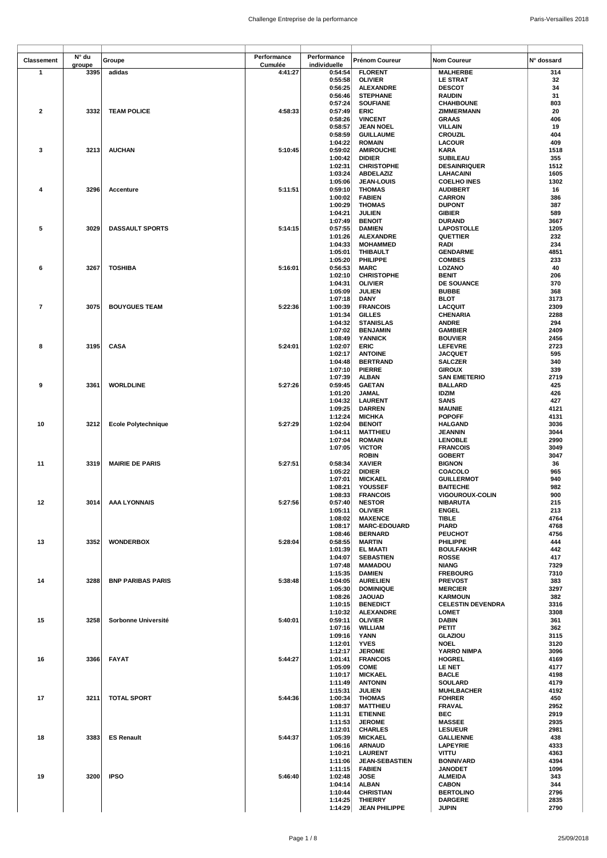| Classement              | N° du  | Groupe                   | Performance | Performance        | Prénom Coureur                      | <b>Nom Coureur</b>                        | N° dossard   |
|-------------------------|--------|--------------------------|-------------|--------------------|-------------------------------------|-------------------------------------------|--------------|
|                         | groupe |                          | Cumulée     | individuelle       |                                     |                                           |              |
| 1                       | 3395   | adidas                   | 4:41:27     | 0:54:54            | <b>FLORENT</b>                      | <b>MALHERBE</b>                           | 314          |
|                         |        |                          |             | 0:55:58            | <b>OLIVIER</b>                      | <b>LE STRAT</b>                           | 32           |
|                         |        |                          |             | 0:56:25            | <b>ALEXANDRE</b>                    | <b>DESCOT</b>                             | 34           |
|                         |        |                          |             | 0:56:46            | <b>STEPHANE</b>                     | <b>RAUDIN</b>                             | 31           |
| $\overline{\mathbf{2}}$ | 3332   | <b>TEAM POLICE</b>       | 4:58:33     | 0:57:24<br>0:57:49 | <b>SOUFIANE</b><br>ERIC             | <b>CHAHBOUNE</b><br>ZIMMERMANN            | 803<br>20    |
|                         |        |                          |             | 0:58:26            | <b>VINCENT</b>                      |                                           | 406          |
|                         |        |                          |             | 0:58:57            | <b>JEAN NOEL</b>                    | <b>GRAAS</b><br><b>VILLAIN</b>            | 19           |
|                         |        |                          |             | 0:58:59            | <b>GUILLAUME</b>                    | CROUZIL                                   | 404          |
|                         |        |                          |             | 1:04:22            | <b>ROMAIN</b>                       | <b>LACOUR</b>                             | 409          |
| 3                       | 3213   | <b>AUCHAN</b>            | 5:10:45     | 0:59:02            | <b>AMIROUCHE</b>                    | <b>KARA</b>                               | 1518         |
|                         |        |                          |             | 1:00:42            | <b>DIDIER</b>                       | <b>SUBILEAU</b>                           | 355          |
|                         |        |                          |             | 1:02:31            | <b>CHRISTOPHE</b>                   | <b>DESAINRIQUER</b>                       | 1512         |
|                         |        |                          |             | 1:03:24            | <b>ABDELAZIZ</b>                    | <b>LAHACAINI</b>                          | 1605         |
|                         |        |                          |             | 1:05:06            | <b>JEAN-LOUIS</b>                   | <b>COELHO INES</b>                        | 1302         |
| 4                       | 3296   | <b>Accenture</b>         | 5:11:51     | 0:59:10            | <b>THOMAS</b>                       | <b>AUDIBERT</b>                           | 16           |
|                         |        |                          |             | 1:00:02            | <b>FABIEN</b>                       | <b>CARRON</b>                             | 386          |
|                         |        |                          |             | 1:00:29            | <b>THOMAS</b>                       | <b>DUPONT</b>                             | 387          |
|                         |        |                          |             | 1:04:21            | JULIEN                              | <b>GIBIER</b>                             | 589          |
|                         |        |                          |             | 1:07:49            | <b>BENOIT</b>                       | <b>DURAND</b>                             | 3667         |
| 5                       | 3029   | <b>DASSAULT SPORTS</b>   | 5:14:15     | 0:57:55            | <b>DAMIEN</b>                       | <b>LAPOSTOLLE</b>                         | 1205         |
|                         |        |                          |             | 1:01:26            | <b>ALEXANDRE</b>                    | QUETTIER                                  | 232          |
|                         |        |                          |             | 1:04:33            | <b>MOHAMMED</b>                     | RADI                                      | 234          |
|                         |        |                          |             | 1:05:01            | <b>THIBAULT</b>                     | <b>GENDARME</b>                           | 4851         |
|                         |        |                          |             | 1:05:20            | PHILIPPE                            | <b>COMBES</b>                             | 233          |
| 6                       | 3267   | <b>TOSHIBA</b>           | 5:16:01     | 0:56:53            | <b>MARC</b>                         | LOZANO                                    | 40           |
|                         |        |                          |             | 1:02:10            | <b>CHRISTOPHE</b>                   | <b>BENIT</b>                              | 206          |
|                         |        |                          |             | 1:04:31            | <b>OLIVIER</b>                      | DE SOUANCE                                | 370          |
|                         |        |                          |             | 1:05:09            | JULIEN                              | <b>BUBBE</b>                              | 368          |
|                         |        |                          |             | 1:07:18            | <b>DANY</b>                         | BLOT                                      | 3173         |
| $\overline{7}$          | 3075   | <b>BOUYGUES TEAM</b>     | 5:22:36     | 1:00:39<br>1:01:34 | <b>FRANCOIS</b><br><b>GILLES</b>    | LACQUIT                                   | 2309<br>2288 |
|                         |        |                          |             |                    |                                     | <b>CHENARIA</b>                           | 294          |
|                         |        |                          |             | 1:04:32<br>1:07:02 | <b>STANISLAS</b><br><b>BENJAMIN</b> | <b>ANDRE</b><br><b>GAMBIER</b>            | 2409         |
|                         |        |                          |             | 1:08:49            | YANNICK                             | <b>BOUVIER</b>                            | 2456         |
| 8                       | 3195   | <b>CASA</b>              | 5:24:01     | 1:02:07            | <b>ERIC</b>                         | <b>LEFEVRE</b>                            | 2723         |
|                         |        |                          |             | 1:02:17            | <b>ANTOINE</b>                      | <b>JACQUET</b>                            | 595          |
|                         |        |                          |             | 1:04:48            | <b>BERTRAND</b>                     | <b>SALCZER</b>                            | 340          |
|                         |        |                          |             | 1:07:10            | <b>PIERRE</b>                       | <b>GIROUX</b>                             | 339          |
|                         |        |                          |             | 1:07:39            | <b>ALBAN</b>                        | <b>SAN EMETERIO</b>                       | 2719         |
| 9                       | 3361   | <b>WORLDLINE</b>         | 5:27:26     | 0:59:45            | <b>GAETAN</b>                       | <b>BALLARD</b>                            | 425          |
|                         |        |                          |             | 1:01:20            | JAMAL                               | <b>IDZIM</b>                              | 426          |
|                         |        |                          |             | 1:04:32            | <b>LAURENT</b>                      | SANS                                      | 427          |
|                         |        |                          |             | 1:09:25            | <b>DARREN</b>                       | <b>MAUNIE</b>                             | 4121         |
|                         |        |                          |             | 1:12:24            | <b>MICHKA</b>                       | <b>POPOFF</b>                             | 4131         |
| 10                      | 3212   | Ecole Polytechnique      | 5:27:29     | 1:02:04            | <b>BENOIT</b>                       | <b>HALGAND</b>                            | 3036         |
|                         |        |                          |             | 1:04:11            | <b>MATTHIEU</b>                     | <b>JEANNIN</b>                            | 3044         |
|                         |        |                          |             | 1:07:04            | <b>ROMAIN</b>                       | <b>LENOBLE</b>                            | 2990         |
|                         |        |                          |             | 1:07:05            | <b>VICTOR</b>                       | <b>FRANCOIS</b>                           | 3049         |
|                         |        |                          |             |                    | <b>ROBIN</b>                        | <b>GOBERT</b>                             | 3047         |
| 11                      | 3319   | <b>MAIRIE DE PARIS</b>   | 5:27:51     | 0:58:34            | <b>XAVIER</b>                       | <b>BIGNON</b>                             | 36           |
|                         |        |                          |             | 1:05:22            | <b>DIDIER</b>                       | <b>COACOLO</b>                            | 965          |
|                         |        |                          |             | 1:07:01            | <b>MICKAEL</b>                      | <b>GUILLERMOT</b>                         | 940          |
|                         |        |                          |             | 1:08:21            | YOUSSEF                             | <b>BAITECHE</b><br><b>VIGOUROUX-COLIN</b> | 982          |
| 12                      |        | 3014 AAA LYONNAIS        | 5:27:56     | 1:08:33<br>0:57:40 | <b>FRANCOIS</b><br><b>NESTOR</b>    | <b>NIBARUTA</b>                           | 900<br>215   |
|                         |        |                          |             | 1:05:11            | <b>OLIVIER</b>                      | <b>ENGEL</b>                              | 213          |
|                         |        |                          |             | 1:08:02            | <b>MAXENCE</b>                      | TIBLE                                     | 4764         |
|                         |        |                          |             | 1:08:17            | <b>MARC-EDOUARD</b>                 | <b>PIARD</b>                              | 4768         |
|                         |        |                          |             | 1:08:46            | <b>BERNARD</b>                      | <b>PEUCHOT</b>                            | 4756         |
| 13                      | 3352   | <b>WONDERBOX</b>         | 5:28:04     | 0:58:55            | <b>MARTIN</b>                       | <b>PHILIPPE</b>                           | 444          |
|                         |        |                          |             | 1:01:39            | <b>EL MAATI</b>                     | <b>BOULFAKHR</b>                          | 442          |
|                         |        |                          |             | 1:04:07            | <b>SEBASTIEN</b>                    | <b>ROSSE</b>                              | 417          |
|                         |        |                          |             | 1:07:48            | <b>MAMADOU</b>                      | <b>NIANG</b>                              | 7329         |
|                         |        |                          |             | 1:15:35            | <b>DAMIEN</b>                       | <b>FREBOURG</b>                           | 7310         |
| 14                      | 3288   | <b>BNP PARIBAS PARIS</b> | 5:38:48     | 1:04:05            | <b>AURELIEN</b>                     | <b>PREVOST</b>                            | 383          |
|                         |        |                          |             | 1:05:30            | <b>DOMINIQUE</b>                    | <b>MERCIER</b>                            | 3297         |
|                         |        |                          |             | 1:08:26            | <b>JAOUAD</b>                       | <b>KARMOUN</b>                            | 382          |
|                         |        |                          |             | 1:10:15            | <b>BENEDICT</b>                     | <b>CELESTIN DEVENDRA</b>                  | 3316         |
|                         |        |                          |             | 1:10:32            | <b>ALEXANDRE</b>                    | LOMET                                     | 3308         |
| 15                      | 3258   | Sorbonne Université      | 5:40:01     | 0:59:11            | <b>OLIVIER</b>                      | <b>DABIN</b>                              | 361          |
|                         |        |                          |             | 1:07:16            | <b>WILLIAM</b>                      | PETIT                                     | 362          |
|                         |        |                          |             | 1:09:16            | YANN                                | GLAZIOU                                   | 3115         |
|                         |        |                          |             | 1:12:01            | <b>YVES</b>                         | <b>NOEL</b>                               | 3120         |
| 16                      | 3366   | <b>FAYAT</b>             |             | 1:12:17            | <b>JEROME</b><br><b>FRANCOIS</b>    | YARRO NIMPA<br><b>HOGREL</b>              | 3096<br>4169 |
|                         |        |                          | 5:44:27     | 1:01:41            |                                     |                                           |              |
|                         |        |                          |             | 1:05:09<br>1:10:17 | <b>COME</b>                         | <b>LE NET</b>                             | 4177<br>4198 |
|                         |        |                          |             | 1:11:49            | <b>MICKAEL</b><br><b>ANTONIN</b>    | <b>BACLE</b><br><b>SOULARD</b>            | 4179         |
|                         |        |                          |             | 1:15:31            | <b>JULIEN</b>                       | <b>MUHLBACHER</b>                         | 4192         |
| 17                      | 3211   | <b>TOTAL SPORT</b>       | 5:44:36     | 1:00:34            | <b>THOMAS</b>                       | <b>FOHRER</b>                             | 450          |
|                         |        |                          |             | 1:08:37            | <b>MATTHIEU</b>                     | <b>FRAVAL</b>                             | 2952         |
|                         |        |                          |             | 1:11:31            | <b>ETIENNE</b>                      | <b>BEC</b>                                | 2919         |
|                         |        |                          |             | 1:11:53            | <b>JEROME</b>                       | <b>MASSEE</b>                             | 2935         |
|                         |        |                          |             | 1:12:01            | <b>CHARLES</b>                      | <b>LESUEUR</b>                            | 2981         |
| 18                      | 3383   | <b>ES Renault</b>        | 5:44:37     | 1:05:39            | <b>MICKAEL</b>                      | <b>GALLIENNE</b>                          | 438          |
|                         |        |                          |             | 1:06:16            | <b>ARNAUD</b>                       | <b>LAPEYRIE</b>                           | 4333         |
|                         |        |                          |             | 1:10:21            | <b>LAURENT</b>                      | <b>VITTU</b>                              | 4363         |
|                         |        |                          |             | 1:11:06            | <b>JEAN-SEBASTIEN</b>               | <b>BONNIVARD</b>                          | 4394         |
|                         |        |                          |             | 1:11:15            | <b>FABIEN</b>                       | <b>JANODET</b>                            | 1096         |
| 19                      | 3200   | <b>IPSO</b>              | 5:46:40     | 1:02:48            | JOSE                                | <b>ALMEIDA</b>                            | 343          |
|                         |        |                          |             | 1:04:14            | <b>ALBAN</b>                        | <b>CABON</b>                              | 344          |
|                         |        |                          |             | 1:10:44            | <b>CHRISTIAN</b>                    | <b>BERTOLINO</b>                          | 2796         |
|                         |        |                          |             | 1:14:25            | <b>THIERRY</b>                      | <b>DARGERE</b>                            | 2835         |
|                         |        |                          |             | 1:14:29            | <b>JEAN PHILIPPE</b>                | <b>JUPIN</b>                              | 2790         |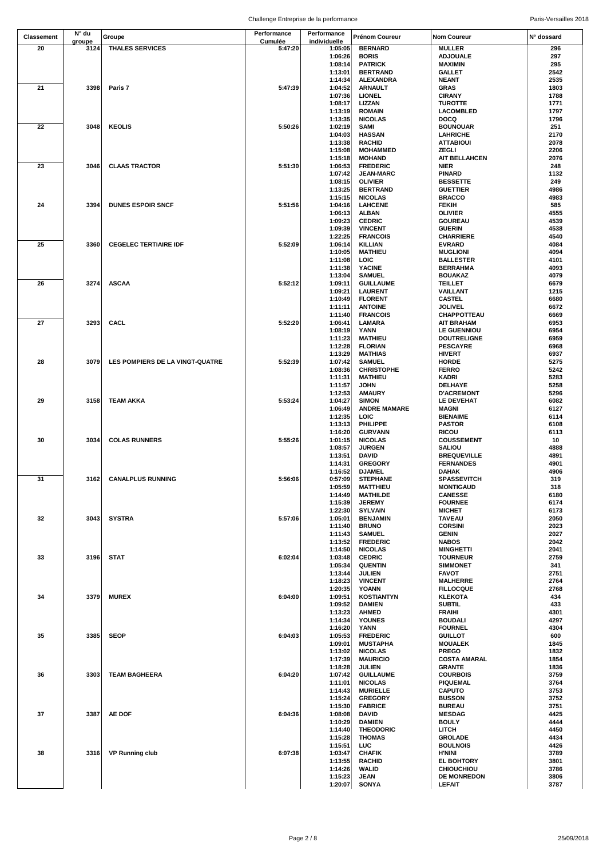|                   | N° du  |                                 | Performance | Performance        |                                   |                                      |              |
|-------------------|--------|---------------------------------|-------------|--------------------|-----------------------------------|--------------------------------------|--------------|
| <b>Classement</b> | groupe | Groupe                          | Cumulée     | individuelle       | Prénom Coureur                    | <b>Nom Coureur</b>                   | N° dossard   |
| 20                | 3124   | <b>THALES SERVICES</b>          | 5:47:20     | 1:05:05            | <b>BERNARD</b>                    | <b>MULLER</b>                        | 296          |
|                   |        |                                 |             | 1:06:26            | <b>BORIS</b>                      | <b>ADJOUALE</b>                      | 297          |
|                   |        |                                 |             | 1:08:14            | <b>PATRICK</b>                    | <b>MAXIMIN</b>                       | 295          |
|                   |        |                                 |             | 1:13:01            | <b>BERTRAND</b>                   | <b>GALLET</b>                        | 2542         |
| 21                | 3398   |                                 |             | 1:14:34            | <b>ALEXANDRA</b>                  | <b>NEANT</b>                         | 2535<br>1803 |
|                   |        | Paris 7                         | 5:47:39     | 1:04:52<br>1:07:36 | <b>ARNAULT</b><br><b>LIONEL</b>   | <b>GRAS</b><br><b>CIRANY</b>         | 1788         |
|                   |        |                                 |             | 1:08:17            | LIZZAN                            | <b>TUROTTE</b>                       | 1771         |
|                   |        |                                 |             | 1:13:19            | <b>ROMAIN</b>                     | LACOMBLED                            | 1797         |
|                   |        |                                 |             | 1:13:35            | <b>NICOLAS</b>                    | <b>DOCQ</b>                          | 1796         |
| 22                | 3048   | <b>KEOLIS</b>                   | 5:50:26     | 1:02:19            | <b>SAMI</b>                       | <b>BOUNOUAR</b>                      | 251          |
|                   |        |                                 |             | 1:04:03            | <b>HASSAN</b>                     | <b>LAHRICHE</b>                      | 2170         |
|                   |        |                                 |             | 1:13:38            | <b>RACHID</b>                     | <b>ATTABIOUI</b>                     | 2078         |
|                   |        |                                 |             | 1:15:08            | <b>MOHAMMED</b>                   | ZEGLI                                | 2206         |
|                   |        |                                 |             | 1:15:18            | <b>MOHAND</b>                     | <b>AIT BELLAHCEN</b>                 | 2076         |
| 23                | 3046   | <b>CLAAS TRACTOR</b>            | 5:51:30     | 1:06:53            | <b>FREDERIC</b>                   | <b>NIER</b>                          | 248          |
|                   |        |                                 |             | 1:07:42            | <b>JEAN-MARC</b>                  | <b>PINARD</b>                        | 1132         |
|                   |        |                                 |             | 1:08:15<br>1:13:25 | <b>OLIVIER</b><br><b>BERTRAND</b> | <b>BESSETTE</b><br><b>GUETTIER</b>   | 249<br>4986  |
|                   |        |                                 |             | 1:15:15            | <b>NICOLAS</b>                    | <b>BRACCO</b>                        | 4983         |
| 24                | 3394   | <b>DUNES ESPOIR SNCF</b>        | 5:51:56     | 1:04:16            | <b>LAHCENE</b>                    | <b>FEKIH</b>                         | 585          |
|                   |        |                                 |             | 1:06:13            | <b>ALBAN</b>                      | <b>OLIVIER</b>                       | 4555         |
|                   |        |                                 |             | 1:09:23            | <b>CEDRIC</b>                     | <b>GOUREAU</b>                       | 4539         |
|                   |        |                                 |             | 1:09:39            | <b>VINCENT</b>                    | <b>GUERIN</b>                        | 4538         |
|                   |        |                                 |             | 1:22:25            | <b>FRANCOIS</b>                   | <b>CHARRIERE</b>                     | 4540         |
| 25                | 3360   | <b>CEGELEC TERTIAIRE IDF</b>    | 5:52:09     | 1:06:14            | <b>KILLIAN</b>                    | <b>EVRARD</b>                        | 4084         |
|                   |        |                                 |             | 1:10:05            | <b>MATHIEU</b>                    | <b>MUGLIONI</b>                      | 4094         |
|                   |        |                                 |             | 1:11:08            | LOIC                              | <b>BALLESTER</b>                     | 4101<br>4093 |
|                   |        |                                 |             | 1:11:38<br>1:13:04 | <b>YACINE</b><br><b>SAMUEL</b>    | <b>BERRAHMA</b><br><b>BOUAKAZ</b>    | 4079         |
| 26                | 3274   | <b>ASCAA</b>                    | 5:52:12     | 1:09:11            | <b>GUILLAUME</b>                  | <b>TEILLET</b>                       | 6679         |
|                   |        |                                 |             | 1:09:21            | <b>LAURENT</b>                    | VAILLANT                             | 1215         |
|                   |        |                                 |             | 1:10:49            | <b>FLORENT</b>                    | <b>CASTEL</b>                        | 6680         |
|                   |        |                                 |             | 1:11:11            | <b>ANTOINE</b>                    | <b>JOLIVEL</b>                       | 6672         |
|                   |        |                                 |             | 1:11:40            | <b>FRANCOIS</b>                   | CHAPPOTTEAU                          | 6669         |
| 27                | 3293   | CACL                            | 5:52:20     | 1:06:41            | LAMARA                            | <b>AIT BRAHAM</b>                    | 6953         |
|                   |        |                                 |             | 1:08:19            | YANN                              | LE GUENNIOU                          | 6954         |
|                   |        |                                 |             | 1:11:23            | <b>MATHIEU</b>                    | <b>DOUTRELIGNE</b>                   | 6959         |
|                   |        |                                 |             | 1:12:28<br>1:13:29 | <b>FLORIAN</b><br><b>MATHIAS</b>  | <b>PESCAYRE</b><br><b>HIVERT</b>     | 6968<br>6937 |
| 28                | 3079   | LES POMPIERS DE LA VINGT-QUATRE | 5:52:39     | 1:07:42            | <b>SAMUEL</b>                     | <b>HORDE</b>                         | 5275         |
|                   |        |                                 |             | 1:08:36            | <b>CHRISTOPHE</b>                 | <b>FERRO</b>                         | 5242         |
|                   |        |                                 |             | 1:11:31            | <b>MATHIEU</b>                    | KADRI                                | 5283         |
|                   |        |                                 |             | 1:11:57            | JOHN                              | DELHAYE                              | 5258         |
|                   |        |                                 |             | 1:12:53            | <b>AMAURY</b>                     | <b>D'ACREMONT</b>                    | 5296         |
| 29                | 3158   | <b>TEAM AKKA</b>                | 5:53:24     | 1:04:27            | <b>SIMON</b>                      | LE DEVEHAT                           | 6082         |
|                   |        |                                 |             | 1:06:49            | <b>ANDRE MAMARE</b>               | <b>MAGNI</b>                         | 6127         |
|                   |        |                                 |             | 1:12:35            | LOIC                              | <b>BIENAIME</b>                      | 6114         |
|                   |        |                                 |             | 1:13:13            | PHILIPPE                          | <b>PASTOR</b>                        | 6108         |
| 30                | 3034   | <b>COLAS RUNNERS</b>            | 5:55:26     | 1:16:20<br>1:01:15 | <b>GURVANN</b><br><b>NICOLAS</b>  | <b>RICOU</b><br><b>COUSSEMENT</b>    | 6113<br>10   |
|                   |        |                                 |             | 1:08:57            | <b>JURGEN</b>                     | <b>SALIOU</b>                        | 4888         |
|                   |        |                                 |             | 1:13:51            | <b>DAVID</b>                      | <b>BREQUEVILLE</b>                   | 4891         |
|                   |        |                                 |             | 1:14:31            | <b>GREGORY</b>                    | <b>FERNANDES</b>                     | 4901         |
|                   |        |                                 |             | 1:16:52            | <b>DJAMEL</b>                     | <b>DAHAK</b>                         | 4906         |
| 31                | 3162   | <b>CANALPLUS RUNNING</b>        | 5:56:06     | 0:57:09            | <b>STEPHANE</b>                   | <b>SPASSEVITCH</b>                   | 319          |
|                   |        |                                 |             | 1:05:59            | <b>MATTHIEU</b>                   | <b>MONTIGAUD</b>                     | 318          |
|                   |        |                                 |             | 1:14:49            | <b>MATHILDE</b>                   | <b>CANESSE</b>                       | 6180         |
|                   |        |                                 |             | 1:15:39            | <b>JEREMY</b>                     | <b>FOURNEE</b>                       | 6174         |
| 32                | 3043   | <b>SYSTRA</b>                   | 5:57:06     | 1:22:30<br>1:05:01 | <b>SYLVAIN</b><br><b>BENJAMIN</b> | <b>MICHET</b><br><b>TAVEAU</b>       | 6173<br>2050 |
|                   |        |                                 |             | 1:11:40            | <b>BRUNO</b>                      | <b>CORSINI</b>                       | 2023         |
|                   |        |                                 |             | 1:11:43            | <b>SAMUEL</b>                     | <b>GENIN</b>                         | 2027         |
|                   |        |                                 |             | 1:13:52            | <b>FREDERIC</b>                   | <b>NABOS</b>                         | 2042         |
|                   |        |                                 |             | 1:14:50            | <b>NICOLAS</b>                    | <b>MINGHETTI</b>                     | 2041         |
| 33                | 3196   | <b>STAT</b>                     | 6:02:04     | 1:03:48            | <b>CEDRIC</b>                     | <b>TOURNEUR</b>                      | 2759         |
|                   |        |                                 |             | 1:05:34            | <b>QUENTIN</b>                    | <b>SIMMONET</b>                      | 341          |
|                   |        |                                 |             | 1:13:44            | <b>JULIEN</b>                     | <b>FAVOT</b>                         | 2751         |
|                   |        |                                 |             | 1:18:23            | <b>VINCENT</b>                    | <b>MALHERRE</b>                      | 2764<br>2768 |
| 34                | 3379   | <b>MUREX</b>                    | 6:04:00     | 1:20:35<br>1:09:51 | YOANN<br><b>KOSTIANTYN</b>        | <b>FILLOCQUE</b><br><b>KLEKOTA</b>   | 434          |
|                   |        |                                 |             | 1:09:52            | <b>DAMIEN</b>                     | <b>SUBTIL</b>                        | 433          |
|                   |        |                                 |             | 1:13:23            | <b>AHMED</b>                      | <b>FRAIHI</b>                        | 4301         |
|                   |        |                                 |             | 1:14:34            | <b>YOUNES</b>                     | <b>BOUDALI</b>                       | 4297         |
|                   |        |                                 |             | 1:16:20            | YANN                              | <b>FOURNEL</b>                       | 4304         |
| 35                | 3385   | <b>SEOP</b>                     | 6:04:03     | 1:05:53            | <b>FREDERIC</b>                   | <b>GUILLOT</b>                       | 600          |
|                   |        |                                 |             | 1:09:01            | <b>MUSTAPHA</b>                   | <b>MOUALEK</b>                       | 1845         |
|                   |        |                                 |             | 1:13:02            | <b>NICOLAS</b>                    | <b>PREGO</b>                         | 1832         |
|                   |        |                                 |             | 1:17:39<br>1:18:28 | <b>MAURICIO</b><br><b>JULIEN</b>  | <b>COSTA AMARAL</b><br><b>GRANTE</b> | 1854<br>1836 |
| 36                | 3303   | <b>TEAM BAGHEERA</b>            | 6:04:20     | 1:07:42            | <b>GUILLAUME</b>                  | <b>COURBOIS</b>                      | 3759         |
|                   |        |                                 |             | 1:11:01            | <b>NICOLAS</b>                    | <b>PIQUEMAL</b>                      | 3764         |
|                   |        |                                 |             | 1:14:43            | <b>MURIELLE</b>                   | <b>CAPUTO</b>                        | 3753         |
|                   |        |                                 |             | 1:15:24            | <b>GREGORY</b>                    | <b>BUSSON</b>                        | 3752         |
|                   |        |                                 |             | 1:15:30            | <b>FABRICE</b>                    | <b>BUREAU</b>                        | 3751         |
| 37                | 3387   | <b>AE DOF</b>                   | 6:04:36     | 1:08:08            | <b>DAVID</b>                      | <b>MESDAG</b>                        | 4425         |
|                   |        |                                 |             | 1:10:29            | <b>DAMIEN</b>                     | <b>BOULY</b>                         | 4444         |
|                   |        |                                 |             | 1:14:40            | <b>THEODORIC</b>                  | LITCH                                | 4450         |
|                   |        |                                 |             | 1:15:28<br>1:15:51 | <b>THOMAS</b><br>LUC              | GROLADE<br><b>BOULNOIS</b>           | 4434<br>4426 |
| 38                | 3316   | <b>VP Running club</b>          | 6:07:38     | 1:03:47            | <b>CHAFIK</b>                     | <b>H'NINI</b>                        | 3789         |
|                   |        |                                 |             | 1:13:55            | <b>RACHID</b>                     | EL BOHTORY                           | 3801         |
|                   |        |                                 |             | 1:14:26            | WALID                             | <b>CHIOUCHIOU</b>                    | 3786         |
|                   |        |                                 |             | 1:15:23            | <b>JEAN</b>                       | <b>DE MONREDON</b>                   | 3806         |
|                   |        |                                 |             | 1:20:07            | <b>SONYA</b>                      | <b>LEFAIT</b>                        | 3787         |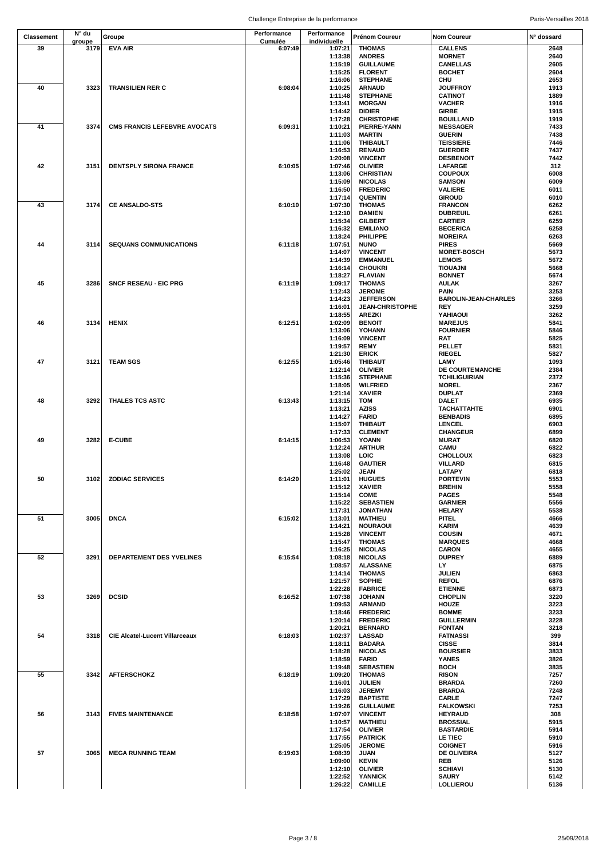| <b>Classement</b> | N° du  | Groupe                                | Performance | Performance  | Prénom Coureur         | <b>Nom Coureur</b>          | N° dossard |
|-------------------|--------|---------------------------------------|-------------|--------------|------------------------|-----------------------------|------------|
|                   | groupe |                                       | Cumulée     | individuelle |                        |                             |            |
| 39                | 3179   | <b>EVA AIR</b>                        | 6:07:49     | 1:07:21      | <b>THOMAS</b>          | <b>CALLENS</b>              | 2648       |
|                   |        |                                       |             | 1:13:38      | <b>ANDRES</b>          | <b>MORNET</b>               | 2640       |
|                   |        |                                       |             | 1:15:19      | <b>GUILLAUME</b>       | <b>CANELLAS</b>             | 2605       |
|                   |        |                                       |             | 1:15:25      | <b>FLORENT</b>         | <b>BOCHET</b>               | 2604       |
|                   |        |                                       |             | 1:16:06      | <b>STEPHANE</b>        | CHU                         | 2653       |
| 40                | 3323   | <b>TRANSILIEN RER C</b>               | 6:08:04     | 1:10:25      | <b>ARNAUD</b>          | <b>JOUFFROY</b>             | 1913       |
|                   |        |                                       |             | 1:11:48      | <b>STEPHANE</b>        | <b>CATINOT</b>              | 1889       |
|                   |        |                                       |             | 1:13:41      | <b>MORGAN</b>          | <b>VACHER</b>               | 1916       |
|                   |        |                                       |             |              |                        |                             |            |
|                   |        |                                       |             | 1:14:42      | <b>DIDIER</b>          | GIRBE                       | 1915       |
|                   |        |                                       |             | 1:17:28      | <b>CHRISTOPHE</b>      | <b>BOUILLAND</b>            | 1919       |
| 41                | 3374   | <b>CMS FRANCIS LEFEBVRE AVOCATS</b>   | 6:09:31     | 1:10:21      | PIERRE-YANN            | <b>MESSAGER</b>             | 7433       |
|                   |        |                                       |             | 1:11:03      | <b>MARTIN</b>          | <b>GUERIN</b>               | 7438       |
|                   |        |                                       |             | 1:11:06      | <b>THIBAULT</b>        | <b>TEISSIERE</b>            | 7446       |
|                   |        |                                       |             | 1:16:53      | <b>RENAUD</b>          | <b>GUERDER</b>              | 7437       |
|                   |        |                                       |             | 1:20:08      | <b>VINCENT</b>         | <b>DESBENOIT</b>            | 7442       |
|                   |        |                                       |             |              |                        |                             |            |
| 42                | 3151   | <b>DENTSPLY SIRONA FRANCE</b>         | 6:10:05     | 1:07:46      | <b>OLIVIER</b>         | LAFARGE                     | 312        |
|                   |        |                                       |             | 1:13:06      | <b>CHRISTIAN</b>       | <b>COUPOUX</b>              | 6008       |
|                   |        |                                       |             | 1:15:09      | <b>NICOLAS</b>         | <b>SAMSON</b>               | 6009       |
|                   |        |                                       |             | 1:16:50      | <b>FREDERIC</b>        | <b>VALIERE</b>              | 6011       |
|                   |        |                                       |             | 1:17:14      | <b>QUENTIN</b>         | <b>GIROUD</b>               | 6010       |
| 43                | 3174   | <b>CE ANSALDO-STS</b>                 | 6:10:10     | 1:07:30      | <b>THOMAS</b>          | <b>FRANCON</b>              | 6262       |
|                   |        |                                       |             |              |                        |                             |            |
|                   |        |                                       |             | 1:12:10      | <b>DAMIEN</b>          | <b>DUBREUIL</b>             | 6261       |
|                   |        |                                       |             | 1:15:34      | <b>GILBERT</b>         | <b>CARTIER</b>              | 6259       |
|                   |        |                                       |             | 1:16:32      | <b>EMILIANO</b>        | <b>BECERICA</b>             | 6258       |
|                   |        |                                       |             | 1:18:24      | PHILIPPE               | <b>MOREIRA</b>              | 6263       |
| 44                | 3114   | <b>SEQUANS COMMUNICATIONS</b>         | 6:11:18     | 1:07:51      | <b>NUNO</b>            | <b>PIRES</b>                | 5669       |
|                   |        |                                       |             | 1:14:07      | <b>VINCENT</b>         | <b>MORET-BOSCH</b>          | 5673       |
|                   |        |                                       |             | 1:14:39      | <b>EMMANUEL</b>        | <b>LEMOIS</b>               | 5672       |
|                   |        |                                       |             | 1:16:14      | <b>CHOUKRI</b>         | TIOUAJNI                    | 5668       |
|                   |        |                                       |             |              |                        |                             |            |
|                   |        |                                       |             | 1:18:27      | <b>FLAVIAN</b>         | <b>BONNET</b>               | 5674       |
| 45                | 3286   | <b>SNCF RESEAU - EIC PRG</b>          | 6:11:19     | 1:09:17      | <b>THOMAS</b>          | <b>AULAK</b>                | 3267       |
|                   |        |                                       |             | 1:12:43      | <b>JEROME</b>          | PAIN                        | 3253       |
|                   |        |                                       |             | 1:14:23      | <b>JEFFERSON</b>       | <b>BAROLIN-JEAN-CHARLES</b> | 3266       |
|                   |        |                                       |             | 1:16:01      | <b>JEAN-CHRISTOPHE</b> | REY                         | 3259       |
|                   |        |                                       |             | 1:18:55      | <b>AREZKI</b>          | YAHIAOUI                    | 3262       |
| 46                | 3134   | <b>HENIX</b>                          | 6:12:51     | 1:02:09      | <b>BENOIT</b>          | <b>MAREJUS</b>              | 5841       |
|                   |        |                                       |             | 1:13:06      | YOHANN                 | <b>FOURNIER</b>             | 5846       |
|                   |        |                                       |             |              |                        |                             |            |
|                   |        |                                       |             | 1:16:09      | <b>VINCENT</b>         | RAT                         | 5825       |
|                   |        |                                       |             | 1:19:57      | <b>REMY</b>            | PELLET                      | 5831       |
|                   |        |                                       |             | 1:21:30      | <b>ERICK</b>           | <b>RIEGEL</b>               | 5827       |
| 47                | 3121   | <b>TEAM SGS</b>                       | 6:12:55     | 1:05:46      | <b>THIBAUT</b>         | LAMY                        | 1093       |
|                   |        |                                       |             | 1:12:14      | <b>OLIVIER</b>         | DE COURTEMANCHE             | 2384       |
|                   |        |                                       |             | 1:15:36      | <b>STEPHANE</b>        | <b>TCHILIGUIRIAN</b>        | 2372       |
|                   |        |                                       |             |              |                        |                             | 2367       |
|                   |        |                                       |             | 1:18:05      | <b>WILFRIED</b>        | <b>MOREL</b>                |            |
|                   |        |                                       |             | 1:21:14      | <b>XAVIER</b>          | <b>DUPLAT</b>               | 2369       |
| 48                | 3292   | <b>THALES TCS ASTC</b>                | 6:13:43     | 1:13:15      | TOM                    | <b>DALET</b>                | 6935       |
|                   |        |                                       |             | 1:13:21      | <b>AZISS</b>           | <b>TACHATTAHTE</b>          | 6901       |
|                   |        |                                       |             | 1:14:27      | <b>FARID</b>           | <b>BENBADIS</b>             | 6895       |
|                   |        |                                       |             | 1:15:07      | THIBAUT                | <b>LENCEL</b>               | 6903       |
|                   |        |                                       |             |              |                        |                             |            |
|                   |        |                                       |             | 1:17:33      | <b>CLEMENT</b>         | <b>CHANGEUR</b>             | 6899       |
| 49                | 3282   | <b>E-CUBE</b>                         | 6:14:15     | 1:06:53      | YOANN                  | <b>MURAT</b>                | 6820       |
|                   |        |                                       |             | 1:12:24      | <b>ARTHUR</b>          | CAMU                        | 6822       |
|                   |        |                                       |             | 1:13:08      | LOIC                   | <b>CHOLLOUX</b>             | 6823       |
|                   |        |                                       |             | 1:16:48      | <b>GAUTIER</b>         | <b>VILLARD</b>              | 6815       |
|                   |        |                                       |             | 1:25:02      | JEAN                   | LATAPY                      | 6818       |
| 50                | 3102   | <b>ZODIAC SERVICES</b>                | 6:14:20     | 1:11:01      | <b>HUGUES</b>          | <b>PORTEVIN</b>             | 5553       |
|                   |        |                                       |             |              |                        |                             |            |
|                   |        |                                       |             | 1:15:12      | <b>XAVIER</b>          | <b>BREHIN</b>               | 5558       |
|                   |        |                                       |             | 1:15:14      | <b>COME</b>            | <b>PAGES</b>                | 5548       |
|                   |        |                                       |             | 1:15:22      | <b>SEBASTIEN</b>       | <b>GARNIER</b>              | 5556       |
|                   |        |                                       |             | 1:17:31      | <b>JONATHAN</b>        | <b>HELARY</b>               | 5538       |
| 51                | 3005   | <b>DNCA</b>                           | 6:15:02     | 1:13:01      | <b>MATHIEU</b>         | PITEL                       | 4666       |
|                   |        |                                       |             | 1:14:21      | <b>NOURAOUI</b>        | <b>KARIM</b>                | 4639       |
|                   |        |                                       |             | 1:15:28      | <b>VINCENT</b>         | <b>COUSIN</b>               | 4671       |
|                   |        |                                       |             | 1:15:47      | <b>THOMAS</b>          | <b>MARQUES</b>              | 4668       |
|                   |        |                                       |             |              |                        |                             |            |
|                   |        |                                       |             | 1:16:25      | <b>NICOLAS</b>         | <b>CARON</b>                | 4655       |
| 52                | 3291   | DEPARTEMENT DES YVELINES              | 6:15:54     | 1:08:18      | <b>NICOLAS</b>         | <b>DUPREY</b>               | 6889       |
|                   |        |                                       |             | 1:08:57      | <b>ALASSANE</b>        | LY                          | 6875       |
|                   |        |                                       |             | 1:14:14      | <b>THOMAS</b>          | <b>JULIEN</b>               | 6863       |
|                   |        |                                       |             | 1:21:57      | <b>SOPHIE</b>          | <b>REFOL</b>                | 6876       |
|                   |        |                                       |             | 1:22:28      | <b>FABRICE</b>         | <b>ETIENNE</b>              | 6873       |
| 53                | 3269   | <b>DCSID</b>                          | 6:16:52     | 1:07:38      | <b>JOHANN</b>          | <b>CHOPLIN</b>              | 3220       |
|                   |        |                                       |             | 1:09:53      | <b>ARMAND</b>          | HOUZE                       | 3223       |
|                   |        |                                       |             | 1:18:46      | <b>FREDERIC</b>        | <b>BOMME</b>                | 3233       |
|                   |        |                                       |             |              |                        |                             | 3228       |
|                   |        |                                       |             | 1:20:14      | <b>FREDERIC</b>        | <b>GUILLERMIN</b>           |            |
|                   |        |                                       |             | 1:20:21      | <b>BERNARD</b>         | <b>FONTAN</b>               | 3218       |
| 54                | 3318   | <b>CIE Alcatel-Lucent Villarceaux</b> | 6:18:03     | 1:02:37      | <b>LASSAD</b>          | <b>FATNASSI</b>             | 399        |
|                   |        |                                       |             | 1:18:11      | <b>BADARA</b>          | <b>CISSE</b>                | 3814       |
|                   |        |                                       |             | 1:18:28      | <b>NICOLAS</b>         | <b>BOURSIER</b>             | 3833       |
|                   |        |                                       |             | 1:18:59      | <b>FARID</b>           | <b>YANES</b>                | 3826       |
|                   |        |                                       |             | 1:19:48      | <b>SEBASTIEN</b>       | <b>BOCH</b>                 | 3835       |
| 55                |        |                                       |             |              |                        |                             |            |
|                   | 3342   | <b>AFTERSCHOKZ</b>                    | 6:18:19     | 1:09:20      | <b>THOMAS</b>          | <b>RISON</b>                | 7257       |
|                   |        |                                       |             | 1:16:01      | <b>JULIEN</b>          | <b>BRARDA</b>               | 7260       |
|                   |        |                                       |             | 1:16:03      | <b>JEREMY</b>          | <b>BRARDA</b>               | 7248       |
|                   |        |                                       |             | 1:17:29      | <b>BAPTISTE</b>        | CARLE                       | 7247       |
|                   |        |                                       |             | 1:19:26      | <b>GUILLAUME</b>       | <b>FALKOWSKI</b>            | 7253       |
| 56                | 3143   | <b>FIVES MAINTENANCE</b>              | 6:18:58     | 1:07:07      | <b>VINCENT</b>         | <b>HEYRAUD</b>              | 308        |
|                   |        |                                       |             |              |                        |                             |            |
|                   |        |                                       |             | 1:10:57      | <b>MATHIEU</b>         | <b>BROSSIAL</b>             | 5915       |
|                   |        |                                       |             | 1:17:54      | <b>OLIVIER</b>         | <b>BASTARDIE</b>            | 5914       |
|                   |        |                                       |             | 1:17:55      | <b>PATRICK</b>         | LE TIEC                     | 5910       |
|                   |        |                                       |             | 1:25:05      | <b>JEROME</b>          | <b>COIGNET</b>              | 5916       |
| 57                | 3065   | <b>MEGA RUNNING TEAM</b>              | 6:19:03     | 1:08:39      | JUAN                   | DE OLIVEIRA                 | 5127       |
|                   |        |                                       |             | 1:09:00      | <b>KEVIN</b>           | REB                         | 5126       |
|                   |        |                                       |             | 1:12:10      | <b>OLIVIER</b>         | <b>SCHIAVI</b>              | 5130       |
|                   |        |                                       |             |              |                        |                             |            |
|                   |        |                                       |             | 1:22:52      | <b>YANNICK</b>         | <b>SAURY</b>                | 5142       |
|                   |        |                                       |             | 1:26:22      | <b>CAMILLE</b>         | LOLLIEROU                   | 5136       |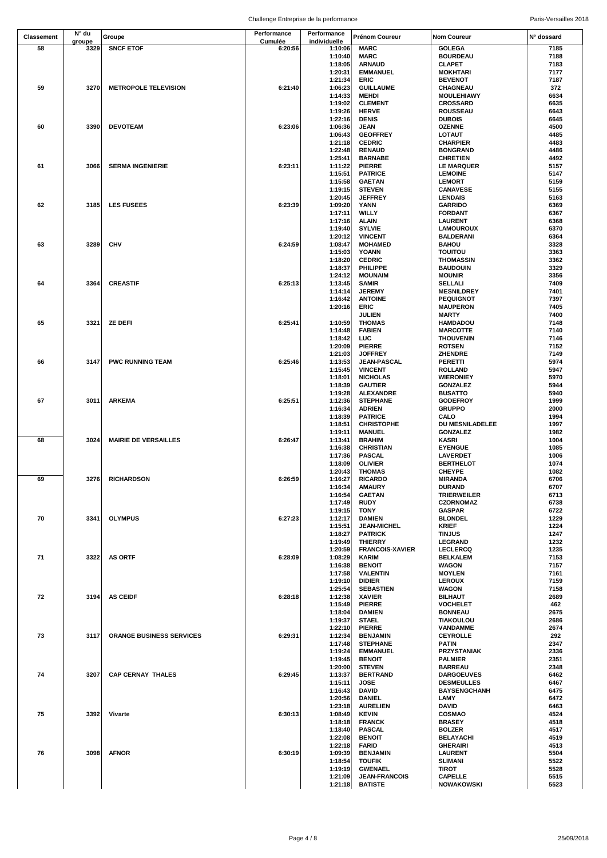|                   | N° du  |                                 | Performance | Performance        |                                 |                                     |              |
|-------------------|--------|---------------------------------|-------------|--------------------|---------------------------------|-------------------------------------|--------------|
| <b>Classement</b> | groupe | Groupe                          | Cumulée     | individuelle       | Prénom Coureur                  | <b>Nom Coureur</b>                  | N° dossard   |
| 58                | 3329   | <b>SNCF ETOF</b>                | 6:20:56     | 1:10:06            | <b>MARC</b>                     | <b>GOLEGA</b>                       | 7185         |
|                   |        |                                 |             | 1:10:40            | <b>MARC</b>                     | <b>BOURDEAU</b>                     | 7188         |
|                   |        |                                 |             | 1:18:05            | <b>ARNAUD</b>                   | <b>CLAPET</b>                       | 7183         |
|                   |        |                                 |             | 1:20:31<br>1:21:34 | <b>EMMANUEL</b><br><b>ERIC</b>  | <b>MOKHTARI</b><br><b>BEVENOT</b>   | 7177<br>7187 |
| 59                | 3270   | <b>METROPOLE TELEVISION</b>     | 6:21:40     | 1:06:23            | <b>GUILLAUME</b>                | CHAGNEAU                            | 372          |
|                   |        |                                 |             | 1:14:33            | <b>MEHDI</b>                    | <b>MOULEHIAWY</b>                   | 6634         |
|                   |        |                                 |             | 1:19:02            | <b>CLEMENT</b>                  | <b>CROSSARD</b>                     | 6635         |
|                   |        |                                 |             | 1:19:26            | <b>HERVE</b>                    | ROUSSEAU                            | 6643         |
|                   |        |                                 |             | 1:22:16            | <b>DENIS</b>                    | <b>DUBOIS</b>                       | 6645         |
| 60                | 3390   | <b>DEVOTEAM</b>                 | 6:23:06     | 1:06:36            | <b>JEAN</b>                     | <b>OZENNE</b>                       | 4500         |
|                   |        |                                 |             | 1:06:43            | <b>GEOFFREY</b>                 | <b>LOTAUT</b>                       | 4485         |
|                   |        |                                 |             | 1:21:18            | <b>CEDRIC</b>                   | <b>CHARPIER</b>                     | 4483         |
|                   |        |                                 |             | 1:22:48            | <b>RENAUD</b>                   | <b>BONGRAND</b>                     | 4486         |
|                   |        |                                 |             | 1:25:41            | <b>BARNABE</b>                  | <b>CHRETIEN</b>                     | 4492         |
| 61                | 3066   | <b>SERMA INGENIERIE</b>         | 6:23:11     | 1:11:22            | <b>PIERRE</b>                   | <b>LE MARQUER</b>                   | 5157         |
|                   |        |                                 |             | 1:15:51            | <b>PATRICE</b>                  | <b>LEMOINE</b>                      | 5147         |
|                   |        |                                 |             | 1:15:58<br>1:19:15 | <b>GAETAN</b><br><b>STEVEN</b>  | <b>LEMORT</b><br><b>CANAVESE</b>    | 5159<br>5155 |
|                   |        |                                 |             | 1:20:45            | <b>JEFFREY</b>                  | <b>LENDAIS</b>                      | 5163         |
| 62                | 3185   | <b>LES FUSEES</b>               | 6:23:39     | 1:09:20            | YANN                            | <b>GARRIDO</b>                      | 6369         |
|                   |        |                                 |             | 1:17:11            | <b>WILLY</b>                    | <b>FORDANT</b>                      | 6367         |
|                   |        |                                 |             | 1:17:16            | <b>ALAIN</b>                    | <b>LAURENT</b>                      | 6368         |
|                   |        |                                 |             | 1:19:40            | <b>SYLVIE</b>                   | <b>LAMOUROUX</b>                    | 6370         |
|                   |        |                                 |             | 1:20:12            | <b>VINCENT</b>                  | <b>BALDERANI</b>                    | 6364         |
| 63                | 3289   | <b>CHV</b>                      | 6:24:59     | 1:08:47            | <b>MOHAMED</b>                  | <b>BAHOU</b>                        | 3328         |
|                   |        |                                 |             | 1:15:03            | YOANN                           | <b>TOUITOU</b>                      | 3363         |
|                   |        |                                 |             | 1:18:20            | <b>CEDRIC</b>                   | THOMASSIN                           | 3362         |
|                   |        |                                 |             | 1:18:37            | PHILIPPE                        | <b>BAUDOUIN</b>                     | 3329         |
|                   |        |                                 |             | 1:24:12            | <b>MOUNAIM</b>                  | <b>MOUNIR</b>                       | 3356         |
| 64                | 3364   | <b>CREASTIF</b>                 | 6:25:13     | 1:13:45<br>1:14:14 | <b>SAMIR</b><br><b>JEREMY</b>   | <b>SELLALI</b><br><b>MESNILDREY</b> | 7409<br>7401 |
|                   |        |                                 |             | 1:16:42            | <b>ANTOINE</b>                  | <b>PEQUIGNOT</b>                    | 7397         |
|                   |        |                                 |             | 1:20:16            | ERIC                            | <b>MAUPERON</b>                     | 7405         |
|                   |        |                                 |             |                    | <b>JULIEN</b>                   | MARTY                               | 7400         |
| 65                | 3321   | <b>ZE DEFI</b>                  | 6:25:41     | 1:10:59            | <b>THOMAS</b>                   | <b>HAMDADOU</b>                     | 7148         |
|                   |        |                                 |             | 1:14:48            | <b>FABIEN</b>                   | <b>MARCOTTE</b>                     | 7140         |
|                   |        |                                 |             | 1:18:42            | LUC                             | <b>THOUVENIN</b>                    | 7146         |
|                   |        |                                 |             | 1:20:09            | <b>PIERRE</b>                   | <b>ROTSEN</b>                       | 7152         |
|                   |        |                                 |             | 1:21:03            | <b>JOFFREY</b>                  | <b>ZHENDRE</b>                      | 7149         |
| 66                | 3147   | <b>PWC RUNNING TEAM</b>         | 6:25:46     | 1:13:53            | <b>JEAN-PASCAL</b>              | <b>PERETTI</b>                      | 5974         |
|                   |        |                                 |             | 1:15:45            | <b>VINCENT</b>                  | <b>ROLLAND</b>                      | 5947         |
|                   |        |                                 |             | 1:18:01            | <b>NICHOLAS</b>                 | <b>WIERONIEY</b>                    | 5970         |
|                   |        |                                 |             | 1:18:39            | <b>GAUTIER</b>                  | <b>GONZALEZ</b>                     | 5944         |
|                   |        |                                 |             | 1:19:28            | <b>ALEXANDRE</b>                | <b>BUSATTO</b>                      | 5940         |
| 67                | 3011   | <b>ARKEMA</b>                   | 6:25:51     | 1:12:36            | <b>STEPHANE</b>                 | <b>GODEFROY</b>                     | 1999         |
|                   |        |                                 |             | 1:16:34<br>1:18:39 | <b>ADRIEN</b><br><b>PATRICE</b> | <b>GRUPPO</b><br>CALO               | 2000<br>1994 |
|                   |        |                                 |             | 1:18:51            | <b>CHRISTOPHE</b>               | DU MESNILADELEE                     | 1997         |
|                   |        |                                 |             | 1:19:11            | <b>MANUEL</b>                   | <b>GONZALEZ</b>                     | 1982         |
| 68                | 3024   | <b>MAIRIE DE VERSAILLES</b>     | 6:26:47     | 1:13:41            | <b>BRAHIM</b>                   | KASRI                               | 1004         |
|                   |        |                                 |             | 1:16:38            | <b>CHRISTIAN</b>                | <b>EYENGUE</b>                      | 1085         |
|                   |        |                                 |             | 1:17:36            | <b>PASCAL</b>                   | <b>LAVERDET</b>                     | 1006         |
|                   |        |                                 |             | 1:18:09            | <b>OLIVIER</b>                  | <b>BERTHELOT</b>                    | 1074         |
|                   |        |                                 |             | 1:20:43            | <b>THOMAS</b>                   | <b>CHEYPE</b>                       | 1082         |
| 69                | 3276   | <b>RICHARDSON</b>               | 6:26:59     | 1:16:27            | <b>RICARDO</b>                  | <b>MIRANDA</b>                      | 6706         |
|                   |        |                                 |             | 1:16:34            | <b>AMAURY</b>                   | <b>DURAND</b>                       | 6707         |
|                   |        |                                 |             | 1:16:54            | <b>GAETAN</b>                   | <b>TRIERWEILER</b>                  | 6713         |
|                   |        |                                 |             | 1:17:49            | <b>RUDY</b><br><b>TONY</b>      | <b>CZORNOMAZ</b>                    | 6738         |
| 70                | 3341   | <b>OLYMPUS</b>                  | 6:27:23     | 1:19:15<br>1:12:17 | <b>DAMIEN</b>                   | <b>GASPAR</b><br><b>BLONDEL</b>     | 6722<br>1229 |
|                   |        |                                 |             | 1:15:51            | <b>JEAN-MICHEL</b>              | <b>KRIEF</b>                        | 1224         |
|                   |        |                                 |             | 1:18:27            | <b>PATRICK</b>                  | <b>TINJUS</b>                       | 1247         |
|                   |        |                                 |             | 1:19:49            | <b>THIERRY</b>                  | LEGRAND                             | 1232         |
|                   |        |                                 |             | 1:20:59            | <b>FRANCOIS-XAVIER</b>          | <b>LECLERCQ</b>                     | 1235         |
| 71                | 3322   | <b>AS ORTF</b>                  | 6:28:09     | 1:08:29            | KARIM                           | <b>BELKALEM</b>                     | 7153         |
|                   |        |                                 |             | 1:16:38            | <b>BENOIT</b>                   | <b>WAGON</b>                        | 7157         |
|                   |        |                                 |             | 1:17:58            | <b>VALENTIN</b>                 | <b>MOYLEN</b>                       | 7161         |
|                   |        |                                 |             | 1:19:10            | <b>DIDIER</b>                   | <b>LEROUX</b>                       | 7159         |
|                   |        |                                 |             | 1:25:54            | <b>SEBASTIEN</b>                | <b>WAGON</b>                        | 7158         |
| 72                | 3194   | <b>AS CEIDF</b>                 | 6:28:18     | 1:12:38            | <b>XAVIER</b>                   | <b>BILHAUT</b>                      | 2689         |
|                   |        |                                 |             | 1:15:49            | <b>PIERRE</b>                   | <b>VOCHELET</b>                     | 462          |
|                   |        |                                 |             | 1:18:04<br>1:19:37 | <b>DAMIEN</b><br><b>STAEL</b>   | <b>BONNEAU</b><br><b>TIAKOULOU</b>  | 2675<br>2686 |
|                   |        |                                 |             | 1:22:10            | <b>PIERRE</b>                   | VANDAMME                            | 2674         |
| 73                | 3117   | <b>ORANGE BUSINESS SERVICES</b> | 6:29:31     | 1:12:34            | <b>BENJAMIN</b>                 | <b>CEYROLLE</b>                     | 292          |
|                   |        |                                 |             | 1:17:48            | <b>STEPHANE</b>                 | PATIN                               | 2347         |
|                   |        |                                 |             | 1:19:24            | <b>EMMANUEL</b>                 | <b>PRZYSTANIAK</b>                  | 2336         |
|                   |        |                                 |             | 1:19:45            | <b>BENOIT</b>                   | <b>PALMIER</b>                      | 2351         |
|                   |        |                                 |             | 1:20:00            | <b>STEVEN</b>                   | <b>BARREAU</b>                      | 2348         |
| 74                | 3207   | <b>CAP CERNAY THALES</b>        | 6:29:45     | 1:13:37            | <b>BERTRAND</b>                 | <b>DARGOEUVES</b>                   | 6462         |
|                   |        |                                 |             | 1:15:11            | <b>JOSE</b>                     | <b>DESMEULLES</b>                   | 6467         |
|                   |        |                                 |             | 1:16:43            | <b>DAVID</b>                    | <b>BAYSENGCHANH</b>                 | 6475         |
|                   |        |                                 |             | 1:20:56            | <b>DANIEL</b>                   | LAMY                                | 6472         |
|                   |        |                                 |             | 1:23:18            | <b>AURELIEN</b>                 | <b>DAVID</b>                        | 6463         |
| 75                | 3392   | Vivarte                         | 6:30:13     | 1:08:49            | <b>KEVIN</b><br><b>FRANCK</b>   | <b>COSMAO</b><br><b>BRASEY</b>      | 4524<br>4518 |
|                   |        |                                 |             | 1:18:18<br>1:18:40 | <b>PASCAL</b>                   | <b>BOLZER</b>                       | 4517         |
|                   |        |                                 |             | 1:22:08            | <b>BENOIT</b>                   | <b>BELAYACHI</b>                    | 4519         |
|                   |        |                                 |             | 1:22:18            | <b>FARID</b>                    | <b>GHERAIRI</b>                     | 4513         |
| 76                | 3098   | <b>AFNOR</b>                    | 6:30:19     | 1:09:39            | <b>BENJAMIN</b>                 | <b>LAURENT</b>                      | 5504         |
|                   |        |                                 |             | 1:18:54            | <b>TOUFIK</b>                   | <b>SLIMANI</b>                      | 5522         |
|                   |        |                                 |             | 1:19:19            | <b>GWENAEL</b>                  | <b>TIROT</b>                        | 5528         |
|                   |        |                                 |             | 1:21:09            | <b>JEAN-FRANCOIS</b>            | <b>CAPELLE</b>                      | 5515         |
|                   |        |                                 |             | 1:21:18            | <b>BATISTE</b>                  | <b>NOWAKOWSKI</b>                   | 5523         |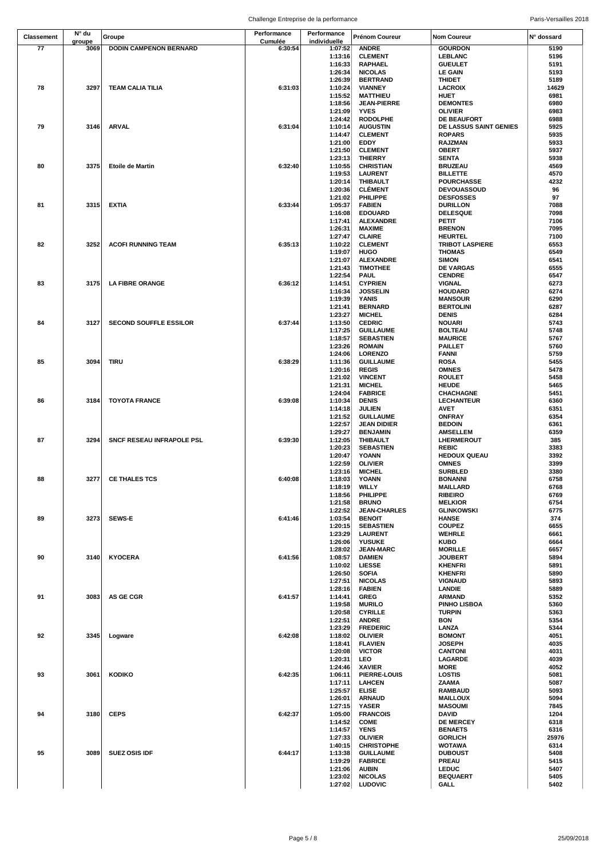|                   | N° du  |                               | Performance | Performance        |                                     |                                         |               |
|-------------------|--------|-------------------------------|-------------|--------------------|-------------------------------------|-----------------------------------------|---------------|
| <b>Classement</b> | groupe | Groupe                        | Cumulée     | individuelle       | <b>Prénom Coureur</b>               | <b>Nom Coureur</b>                      | N° dossard    |
| 77                | 3069   | <b>DODIN CAMPENON BERNARD</b> | 6:30:54     | 1:07:52            | <b>ANDRE</b>                        | <b>GOURDON</b>                          | 5190          |
|                   |        |                               |             | 1:13:16            | <b>CLEMENT</b>                      | LEBLANC                                 | 5196          |
|                   |        |                               |             | 1:16:33            | RAPHAEL                             | <b>GUEULET</b>                          | 5191          |
|                   |        |                               |             | 1:26:34            | <b>NICOLAS</b>                      | <b>LE GAIN</b>                          | 5193          |
| 78                | 3297   | <b>TEAM CALIA TILIA</b>       | 6:31:03     | 1:26:39<br>1:10:24 | <b>BERTRAND</b><br><b>VIANNEY</b>   | <b>THIDET</b>                           | 5189<br>14629 |
|                   |        |                               |             | 1:15:52            | <b>MATTHIEU</b>                     | LACROIX<br><b>HUET</b>                  | 6981          |
|                   |        |                               |             | 1:18:56            | <b>JEAN-PIERRE</b>                  | <b>DEMONTES</b>                         | 6980          |
|                   |        |                               |             | 1:21:09            | <b>YVES</b>                         | <b>OLIVIER</b>                          | 6983          |
|                   |        |                               |             | 1:24:42            | <b>RODOLPHE</b>                     | DE BEAUFORT                             | 6988          |
| 79                | 3146   | <b>ARVAL</b>                  | 6:31:04     | 1:10:14            | <b>AUGUSTIN</b>                     | DE LASSUS SAINT GENIES                  | 5925          |
|                   |        |                               |             | 1:14:47            | <b>CLEMENT</b>                      | <b>ROPARS</b>                           | 5935          |
|                   |        |                               |             | 1:21:00            | <b>EDDY</b>                         | <b>RAJZMAN</b>                          | 5933          |
|                   |        |                               |             | 1:21:50            | <b>CLEMENT</b>                      | <b>OBERT</b>                            | 5937          |
|                   |        |                               |             | 1:23:13            | <b>THIERRY</b>                      | <b>SENTA</b>                            | 5938          |
| 80                | 3375   | <b>Etoile de Martin</b>       | 6:32:40     | 1:10:55            | <b>CHRISTIAN</b>                    | <b>BRUZEAU</b>                          | 4569          |
|                   |        |                               |             | 1:19:53            | <b>LAURENT</b>                      | <b>BILLETTE</b>                         | 4570          |
|                   |        |                               |             | 1:20:14<br>1:20:36 | <b>THIBAULT</b><br><b>CLÉMENT</b>   | <b>POURCHASSE</b><br><b>DEVOUASSOUD</b> | 4232<br>96    |
|                   |        |                               |             | 1:21:02            | PHILIPPE                            | <b>DESFOSSES</b>                        | 97            |
| 81                | 3315   | <b>EXTIA</b>                  | 6:33:44     | 1:05:37            | <b>FABIEN</b>                       | <b>DURILLON</b>                         | 7088          |
|                   |        |                               |             | 1:16:08            | <b>EDOUARD</b>                      | <b>DELESQUE</b>                         | 7098          |
|                   |        |                               |             | 1:17:41            | <b>ALEXANDRE</b>                    | PETIT                                   | 7106          |
|                   |        |                               |             | 1:26:31            | <b>MAXIME</b>                       | <b>BRENON</b>                           | 7095          |
|                   |        |                               |             | 1:27:47            | <b>CLAIRE</b>                       | <b>HEURTEL</b>                          | 7100          |
| 82                | 3252   | <b>ACOFI RUNNING TEAM</b>     | 6:35:13     | 1:10:22            | <b>CLEMENT</b>                      | <b>TRIBOT LASPIERE</b>                  | 6553          |
|                   |        |                               |             | 1:19:07            | <b>HUGO</b>                         | <b>THOMAS</b>                           | 6549          |
|                   |        |                               |             | 1:21:07<br>1:21:43 | <b>ALEXANDRE</b><br><b>TIMOTHEE</b> | <b>SIMON</b><br><b>DE VARGAS</b>        | 6541<br>6555  |
|                   |        |                               |             | 1:22:54            | <b>PAUL</b>                         | <b>CENDRE</b>                           | 6547          |
| 83                | 3175   | <b>LA FIBRE ORANGE</b>        | 6:36:12     | 1:14:51            | <b>CYPRIEN</b>                      | VIGNAL                                  | 6273          |
|                   |        |                               |             | 1:16:34            | <b>JOSSELIN</b>                     | <b>HOUDARD</b>                          | 6274          |
|                   |        |                               |             | 1:19:39            | YANIS                               | <b>MANSOUR</b>                          | 6290          |
|                   |        |                               |             | 1:21:41            | <b>BERNARD</b>                      | <b>BERTOLINI</b>                        | 6287          |
|                   |        |                               |             | 1:23:27            | <b>MICHEL</b>                       | <b>DENIS</b>                            | 6284          |
| 84                | 3127   | <b>SECOND SOUFFLE ESSILOR</b> | 6:37:44     | 1:13:50            | <b>CEDRIC</b>                       | <b>NOUARI</b>                           | 5743          |
|                   |        |                               |             | 1:17:25            | <b>GUILLAUME</b>                    | <b>BOLTEAU</b>                          | 5748          |
|                   |        |                               |             | 1:18:57            | <b>SEBASTIEN</b>                    | <b>MAURICE</b>                          | 5767          |
|                   |        |                               |             | 1:23:26            | <b>ROMAIN</b>                       | PAILLET                                 | 5760          |
| 85                | 3094   | <b>TIRU</b>                   | 6:38:29     | 1:24:06<br>1:11:36 | <b>LORENZO</b><br><b>GUILLAUME</b>  | <b>FANNI</b><br><b>ROSA</b>             | 5759<br>5455  |
|                   |        |                               |             | 1:20:16            | <b>REGIS</b>                        | <b>OMNES</b>                            | 5478          |
|                   |        |                               |             | 1:21:02            | <b>VINCENT</b>                      | <b>ROULET</b>                           | 5458          |
|                   |        |                               |             | 1:21:31            | <b>MICHEL</b>                       | <b>HEUDE</b>                            | 5465          |
|                   |        |                               |             | 1:24:04            | <b>FABRICE</b>                      | CHACHAGNE                               | 5451          |
| 86                | 3184   | <b>TOYOTA FRANCE</b>          | 6:39:08     | 1:10:34            | <b>DENIS</b>                        | <b>LECHANTEUR</b>                       | 6360          |
|                   |        |                               |             | 1:14:18            | JULIEN                              | AVET                                    | 6351          |
|                   |        |                               |             | 1:21:52            | <b>GUILLAUME</b>                    | <b>ONFRAY</b>                           | 6354          |
|                   |        |                               |             | 1:22:57            | <b>JEAN DIDIER</b>                  | <b>BEDOIN</b>                           | 6361          |
|                   |        |                               |             | 1:29:27            | <b>BENJAMIN</b>                     | <b>AMSELLEM</b>                         | 6359          |
| 87                | 3294   | SNCF RESEAU INFRAPOLE PSL     | 6:39:30     | 1:12:05<br>1:20:23 | <b>THIBAULT</b><br><b>SEBASTIEN</b> | <b>LHERMEROUT</b><br>REBIC              | 385<br>3383   |
|                   |        |                               |             | 1:20:47            | YOANN                               | <b>HEDOUX QUEAU</b>                     | 3392          |
|                   |        |                               |             | 1:22:59            | <b>OLIVIER</b>                      | <b>OMNES</b>                            | 3399          |
|                   |        |                               |             | 1:23:16            | <b>MICHEL</b>                       | <b>SURBLED</b>                          | 3380          |
| 88                | 3277   | <b>CE THALES TCS</b>          | 6:40:08     | 1:18:03            | YOANN                               | <b>BONANNI</b>                          | 6758          |
|                   |        |                               |             | 1:18:19            | <b>WILLY</b>                        | <b>MAILLARD</b>                         | 6768          |
|                   |        |                               |             | 1:18:56            | <b>PHILIPPE</b>                     | <b>RIBEIRO</b>                          | 6769          |
|                   |        |                               |             | 1:21:58            | <b>BRUNO</b>                        | <b>MELKIOR</b>                          | 6754          |
|                   |        |                               |             | 1:22:52            | <b>JEAN-CHARLES</b>                 | <b>GLINKOWSKI</b>                       | 6775          |
| 89                | 3273   | <b>SEWS-E</b>                 | 6:41:46     | 1:03:54<br>1:20:15 | <b>BENOIT</b>                       | HANSE                                   | 374<br>6655   |
|                   |        |                               |             | 1:23:29            | <b>SEBASTIEN</b><br><b>LAURENT</b>  | <b>COUPEZ</b><br><b>WEHRLE</b>          | 6661          |
|                   |        |                               |             | 1:26:06            | <b>YUSUKE</b>                       | <b>KUBO</b>                             | 6664          |
|                   |        |                               |             | 1:28:02            | <b>JEAN-MARC</b>                    | <b>MORILLE</b>                          | 6657          |
| 90                | 3140   | <b>KYOCERA</b>                | 6:41:56     | 1:08:57            | <b>DAMIEN</b>                       | <b>JOUBERT</b>                          | 5894          |
|                   |        |                               |             | 1:10:02            | <b>LIESSE</b>                       | <b>KHENFRI</b>                          | 5891          |
|                   |        |                               |             | 1:26:50            | <b>SOFIA</b>                        | <b>KHENFRI</b>                          | 5890          |
|                   |        |                               |             | 1:27:51            | <b>NICOLAS</b>                      | <b>VIGNAUD</b>                          | 5893          |
|                   |        |                               |             | 1:28:16            | <b>FABIEN</b>                       | LANDIE                                  | 5889          |
| 91                | 3083   | AS GE CGR                     | 6:41:57     | 1:14:41<br>1:19:58 | <b>GREG</b><br><b>MURILO</b>        | <b>ARMAND</b><br><b>PINHO LISBOA</b>    | 5352<br>5360  |
|                   |        |                               |             | 1:20:58            | <b>CYRILLE</b>                      | <b>TURPIN</b>                           | 5363          |
|                   |        |                               |             | 1:22:51            | <b>ANDRE</b>                        | <b>BON</b>                              | 5354          |
|                   |        |                               |             | 1:23:29            | <b>FREDERIC</b>                     | LANZA                                   | 5344          |
| 92                | 3345   | Logware                       | 6:42:08     | 1:18:02            | <b>OLIVIER</b>                      | <b>BOMONT</b>                           | 4051          |
|                   |        |                               |             | 1:18:41            | <b>FLAVIEN</b>                      | <b>JOSEPH</b>                           | 4035          |
|                   |        |                               |             | 1:20:08            | <b>VICTOR</b>                       | <b>CANTONI</b>                          | 4031          |
|                   |        |                               |             | 1:20:31            | LEO                                 | LAGARDE                                 | 4039          |
|                   |        |                               |             | 1:24:46            | <b>XAVIER</b>                       | <b>MORE</b>                             | 4052          |
| 93                | 3061   | <b>KODIKO</b>                 | 6:42:35     | 1:06:11            | <b>PIERRE-LOUIS</b>                 | LOSTIS                                  | 5081          |
|                   |        |                               |             | 1:17:11<br>1:25:57 | <b>LAHCEN</b><br><b>ELISE</b>       | <b>ZAAMA</b>                            | 5087          |
|                   |        |                               |             | 1:26:01            | <b>ARNAUD</b>                       | <b>RAMBAUD</b><br><b>MAILLOUX</b>       | 5093<br>5094  |
|                   |        |                               |             | 1:27:15            | <b>YASER</b>                        | <b>MASOUMI</b>                          | 7845          |
| 94                | 3180   | <b>CEPS</b>                   | 6:42:37     | 1:05:00            | <b>FRANCOIS</b>                     | <b>DAVID</b>                            | 1204          |
|                   |        |                               |             | 1:14:52            | <b>COME</b>                         | <b>DE MERCEY</b>                        | 6318          |
|                   |        |                               |             | 1:14:57            | <b>YENS</b>                         | <b>BENAETS</b>                          | 6316          |
|                   |        |                               |             | 1:27:33            | <b>OLIVIER</b>                      | <b>GORLICH</b>                          | 25976         |
|                   |        |                               |             | 1:40:15            | <b>CHRISTOPHE</b>                   | <b>WOTAWA</b>                           | 6314          |
| 95                | 3089   | <b>SUEZ OSIS IDF</b>          | 6:44:17     | 1:13:38            | <b>GUILLAUME</b>                    | <b>DUBOUST</b>                          | 5408          |
|                   |        |                               |             | 1:19:29            | <b>FABRICE</b>                      | PREAU                                   | 5415          |
|                   |        |                               |             | 1:21:06<br>1:23:02 | <b>AUBIN</b><br><b>NICOLAS</b>      | LEDUC<br><b>BEQUAERT</b>                | 5407<br>5405  |
|                   |        |                               |             | 1:27:02            | <b>LUDOVIC</b>                      | GALL                                    | 5402          |
|                   |        |                               |             |                    |                                     |                                         |               |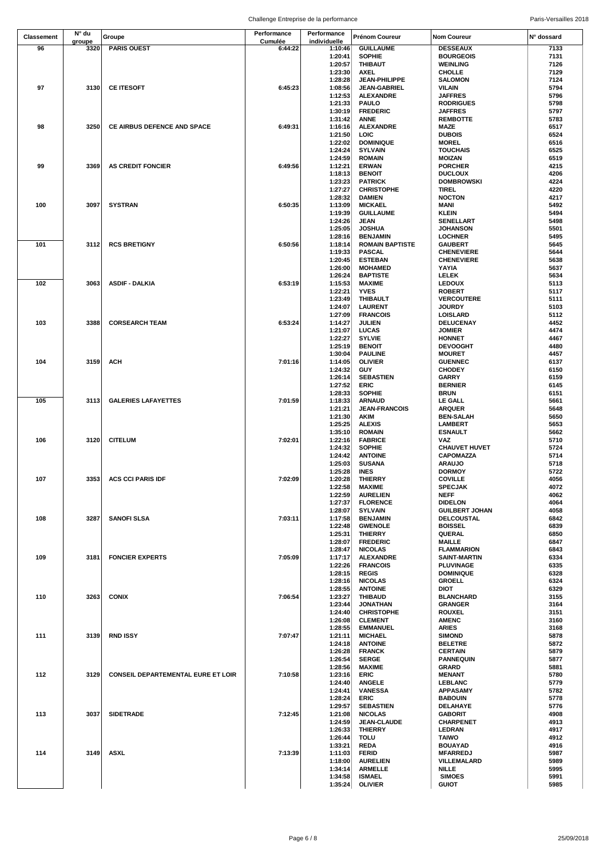|                   | N° du  |                                           | Performance | Performance        |                                    |                                          |              |
|-------------------|--------|-------------------------------------------|-------------|--------------------|------------------------------------|------------------------------------------|--------------|
| <b>Classement</b> | groupe | Groupe                                    | Cumulée     | individuelle       | Prénom Coureur                     | <b>Nom Coureur</b>                       | N° dossard   |
| 96                | 3320   | <b>PARIS OUEST</b>                        | 6:44:22     | 1:10:46            | <b>GUILLAUME</b>                   | <b>DESSEAUX</b>                          | 7133         |
|                   |        |                                           |             | 1:20:41            | <b>SOPHIE</b>                      | <b>BOURGEOIS</b>                         | 7131         |
|                   |        |                                           |             | 1:20:57            | THIBAUT                            | <b>WEINLING</b>                          | 7126         |
|                   |        |                                           |             | 1:23:30            | <b>AXEL</b>                        | <b>CHOLLE</b>                            | 7129         |
|                   |        |                                           |             | 1:28:28            | <b>JEAN-PHILIPPE</b>               | <b>SALOMON</b>                           | 7124         |
| 97                | 3130   | <b>CE ITESOFT</b>                         | 6:45:23     | 1:08:56            | <b>JEAN-GABRIEL</b>                | VILAIN                                   | 5794         |
|                   |        |                                           |             | 1:12:53            | <b>ALEXANDRE</b>                   | <b>JAFFRES</b>                           | 5796         |
|                   |        |                                           |             | 1:21:33            | <b>PAULO</b>                       | <b>RODRIGUES</b>                         | 5798         |
|                   |        |                                           |             | 1:30:19            | <b>FREDERIC</b>                    | <b>JAFFRES</b>                           | 5797         |
|                   |        |                                           |             | 1:31:42            | <b>ANNE</b>                        | <b>REMBOTTE</b>                          | 5783         |
| 98                | 3250   | CE AIRBUS DEFENCE AND SPACE               | 6:49:31     | 1:16:16            | <b>ALEXANDRE</b>                   | <b>MAZE</b>                              | 6517         |
|                   |        |                                           |             | 1:21:50<br>1:22:02 | LOIC<br><b>DOMINIQUE</b>           | <b>DUBOIS</b><br><b>MOREL</b>            | 6524<br>6516 |
|                   |        |                                           |             | 1:24:24            | <b>SYLVAIN</b>                     | <b>TOUCHAIS</b>                          | 6525         |
|                   |        |                                           |             | 1:24:59            | <b>ROMAIN</b>                      | <b>MOIZAN</b>                            | 6519         |
| 99                | 3369   | <b>AS CREDIT FONCIER</b>                  | 6:49:56     | 1:12:21            | <b>ERWAN</b>                       | <b>PORCHER</b>                           | 4215         |
|                   |        |                                           |             | 1:18:13            | <b>BENOIT</b>                      | <b>DUCLOUX</b>                           | 4206         |
|                   |        |                                           |             | 1:23:23            | <b>PATRICK</b>                     | <b>DOMBROWSKI</b>                        | 4224         |
|                   |        |                                           |             | 1:27:27            | <b>CHRISTOPHE</b>                  | <b>TIREL</b>                             | 4220         |
|                   |        |                                           |             | 1:28:32            | <b>DAMIEN</b>                      | <b>NOCTON</b>                            | 4217         |
| 100               | 3097   | <b>SYSTRAN</b>                            | 6:50:35     | 1:13:09            | <b>MICKAEL</b>                     | <b>MANI</b>                              | 5492         |
|                   |        |                                           |             | 1:19:39            | <b>GUILLAUME</b>                   | <b>KLEIN</b>                             | 5494         |
|                   |        |                                           |             | 1:24:26            | <b>JEAN</b>                        | <b>SENELLART</b>                         | 5498         |
|                   |        |                                           |             | 1:25:05            | <b>JOSHUA</b>                      | <b>JOHANSON</b>                          | 5501         |
|                   |        |                                           |             | 1:28:16            | <b>BENJAMIN</b>                    | <b>LOCHNER</b>                           | 5495         |
| 101               | 3112   | <b>RCS BRETIGNY</b>                       | 6:50:56     | 1:18:14            | <b>ROMAIN BAPTISTE</b>             | <b>GAUBERT</b>                           | 5645         |
|                   |        |                                           |             | 1:19:33            | <b>PASCAL</b>                      | <b>CHENEVIERE</b>                        | 5644         |
|                   |        |                                           |             | 1:20:45            | <b>ESTEBAN</b>                     | <b>CHENEVIERE</b>                        | 5638         |
|                   |        |                                           |             | 1:26:00            | <b>MOHAMED</b>                     | YAYIA                                    | 5637         |
|                   |        |                                           |             | 1:26:24            | <b>BAPTISTE</b>                    | LELEK                                    | 5634         |
| 102               | 3063   | <b>ASDIF - DALKIA</b>                     | 6:53:19     | 1:15:53            | <b>MAXIME</b>                      | <b>LEDOUX</b>                            | 5113         |
|                   |        |                                           |             | 1:22:21            | <b>YVES</b>                        | <b>ROBERT</b>                            | 5117         |
|                   |        |                                           |             | 1:23:49            | <b>THIBAULT</b>                    | <b>VERCOUTERE</b>                        | 5111         |
|                   |        |                                           |             | 1:24:07            | <b>LAURENT</b>                     | <b>JOURDY</b>                            | 5103         |
|                   |        |                                           |             | 1:27:09            | <b>FRANCOIS</b>                    | LOISLARD                                 | 5112         |
| 103               | 3388   | <b>CORSEARCH TEAM</b>                     | 6:53:24     | 1:14:27            | JULIEN                             | DELUCENAY                                | 4452         |
|                   |        |                                           |             | 1:21:07            | <b>LUCAS</b>                       | <b>JOMIER</b>                            | 4474         |
|                   |        |                                           |             | 1:22:27            | <b>SYLVIE</b>                      | <b>HONNET</b>                            | 4467         |
|                   |        |                                           |             | 1:25:19            | <b>BENOIT</b>                      | <b>DEVOOGHT</b>                          | 4480         |
|                   |        |                                           |             | 1:30:04            | <b>PAULINE</b>                     | <b>MOURET</b>                            | 4457         |
| 104               | 3159   | <b>ACH</b>                                | 7:01:16     | 1:14:05<br>1:24:32 | <b>OLIVIER</b><br>GUY              | <b>GUENNEC</b><br><b>CHODEY</b>          | 6137<br>6150 |
|                   |        |                                           |             | 1:26:14            | <b>SEBASTIEN</b>                   | GARRY                                    | 6159         |
|                   |        |                                           |             | 1:27:52            | <b>ERIC</b>                        | <b>BERNIER</b>                           | 6145         |
|                   |        |                                           |             | 1:28:33            | <b>SOPHIE</b>                      | <b>BRUN</b>                              | 6151         |
| 105               | 3113   | <b>GALERIES LAFAYETTES</b>                | 7:01:59     | 1:18:33            | <b>ARNAUD</b>                      | LE GALL                                  | 5661         |
|                   |        |                                           |             | 1:21:21            | <b>JEAN-FRANCOIS</b>               | <b>ARQUER</b>                            | 5648         |
|                   |        |                                           |             | 1:21:30            | AKIM                               | <b>BEN-SALAH</b>                         | 5650         |
|                   |        |                                           |             | 1:25:25            | <b>ALEXIS</b>                      | <b>LAMBERT</b>                           | 5653         |
|                   |        |                                           |             | 1:35:10            | <b>ROMAIN</b>                      | <b>ESNAULT</b>                           | 5662         |
| 106               | 3120   | <b>CITELUM</b>                            | 7:02:01     | 1:22:16            | <b>FABRICE</b>                     | VAZ                                      | 5710         |
|                   |        |                                           |             | 1:24:32            | <b>SOPHIE</b>                      | <b>CHAUVET HUVET</b>                     | 5724         |
|                   |        |                                           |             | 1:24:42            | <b>ANTOINE</b>                     | <b>CAPOMAZZA</b>                         | 5714         |
|                   |        |                                           |             | 1:25:03            | <b>SUSANA</b>                      | <b>ARAUJO</b>                            | 5718         |
|                   |        |                                           |             | 1:25:28            | <b>INES</b>                        | <b>DORMOY</b>                            | 5722         |
| 107               | 3353   | <b>ACS CCI PARIS IDF</b>                  | 7:02:09     | 1:20:28            | <b>THIERRY</b>                     | <b>COVILLE</b>                           | 4056         |
|                   |        |                                           |             | 1:22:58            | <b>MAXIME</b>                      | <b>SPECJAK</b>                           | 4072         |
|                   |        |                                           |             | 1:22:59            | <b>AURELIEN</b>                    | <b>NEFF</b>                              | 4062         |
|                   |        |                                           |             | 1:27:37            | <b>FLORENCE</b>                    | <b>DIDELON</b>                           | 4064         |
|                   |        |                                           |             | 1:28:07            | <b>SYLVAIN</b>                     | <b>GUILBERT JOHAN</b>                    | 4058         |
| 108               | 3287   | <b>SANOFI SLSA</b>                        | 7:03:11     | 1:17:58            | <b>BENJAMIN</b>                    | <b>DELCOUSTAL</b>                        | 6842         |
|                   |        |                                           |             | 1:22:48            | <b>GWENOLE</b>                     | <b>BOISSEL</b>                           | 6839         |
|                   |        |                                           |             | 1:25:31            | <b>THIERRY</b>                     | QUERAL                                   | 6850         |
|                   |        |                                           |             | 1:28:07            | <b>FREDERIC</b>                    | <b>MAILLE</b>                            | 6847         |
| 109               |        | <b>FONCIER EXPERTS</b>                    | 7:05:09     | 1:28:47            | <b>NICOLAS</b><br><b>ALEXANDRE</b> | <b>FLAMMARION</b><br><b>SAINT-MARTIN</b> | 6843         |
|                   | 3181   |                                           |             | 1:17:17<br>1:22:26 | <b>FRANCOIS</b>                    | PLUVINAGE                                | 6334<br>6335 |
|                   |        |                                           |             | 1:28:15            | <b>REGIS</b>                       | <b>DOMINIQUE</b>                         | 6328         |
|                   |        |                                           |             | 1:28:16            | <b>NICOLAS</b>                     | <b>GROELL</b>                            | 6324         |
|                   |        |                                           |             | 1:28:55            | <b>ANTOINE</b>                     | <b>DIOT</b>                              | 6329         |
| 110               | 3263   | <b>CONIX</b>                              | 7:06:54     | 1:23:27            | <b>THIBAUD</b>                     | <b>BLANCHARD</b>                         | 3155         |
|                   |        |                                           |             | 1:23:44            | <b>JONATHAN</b>                    | <b>GRANGER</b>                           | 3164         |
|                   |        |                                           |             | 1:24:40            | <b>CHRISTOPHE</b>                  | <b>ROUXEL</b>                            | 3151         |
|                   |        |                                           |             | 1:26:08            | <b>CLEMENT</b>                     | <b>AMENC</b>                             | 3160         |
|                   |        |                                           |             | 1:28:55            | <b>EMMANUEL</b>                    | <b>ARIES</b>                             | 3168         |
| 111               | 3139   | <b>RND ISSY</b>                           | 7:07:47     | 1:21:11            | <b>MICHAEL</b>                     | <b>SIMOND</b>                            | 5878         |
|                   |        |                                           |             | 1:24:18            | <b>ANTOINE</b>                     | <b>BELETRE</b>                           | 5872         |
|                   |        |                                           |             | 1:26:28            | <b>FRANCK</b>                      | <b>CERTAIN</b>                           | 5879         |
|                   |        |                                           |             | 1:26:54            | <b>SERGE</b>                       | <b>PANNEQUIN</b>                         | 5877         |
|                   |        |                                           |             | 1:28:56            | <b>MAXIME</b>                      | <b>GRARD</b>                             | 5881         |
| 112               | 3129   | <b>CONSEIL DEPARTEMENTAL EURE ET LOIR</b> | 7:10:58     | 1:23:16            | <b>ERIC</b>                        | <b>MENANT</b>                            | 5780         |
|                   |        |                                           |             | 1:24:40            | <b>ANGELE</b>                      | LEBLANC                                  | 5779         |
|                   |        |                                           |             | 1:24:41            | <b>VANESSA</b>                     | <b>APPASAMY</b>                          | 5782         |
|                   |        |                                           |             | 1:28:24            | ERIC                               | <b>BABOUIN</b>                           | 5778         |
|                   |        |                                           |             | 1:29:57            | <b>SEBASTIEN</b>                   | DELAHAYE                                 | 5776         |
| 113               | 3037   | <b>SIDETRADE</b>                          | 7:12:45     | 1:21:08            | <b>NICOLAS</b>                     | <b>GABORIT</b>                           | 4908         |
|                   |        |                                           |             | 1:24:59            | <b>JEAN-CLAUDE</b>                 | <b>CHARPENET</b>                         | 4913         |
|                   |        |                                           |             | 1:26:33            | <b>THIERRY</b>                     | LEDRAN                                   | 4917         |
|                   |        |                                           |             | 1:26:44            | <b>TOLU</b>                        | <b>TAIWO</b>                             | 4912         |
| 114               | 3149   |                                           | 7:13:39     | 1:33:21            | <b>REDA</b><br><b>FERID</b>        | <b>BOUAYAD</b>                           | 4916         |
|                   |        | <b>ASXL</b>                               |             | 1:11:03<br>1:18:00 | <b>AURELIEN</b>                    | <b>MFARREDJ</b><br>VILLEMALARD           | 5987<br>5989 |
|                   |        |                                           |             | 1:34:14            | <b>ARMELLE</b>                     | <b>NILLE</b>                             | 5995         |
|                   |        |                                           |             | 1:34:58            | <b>ISMAEL</b>                      | <b>SIMOES</b>                            | 5991         |
|                   |        |                                           |             | 1:35:24            | <b>OLIVIER</b>                     | <b>GUIOT</b>                             | 5985         |
|                   |        |                                           |             |                    |                                    |                                          |              |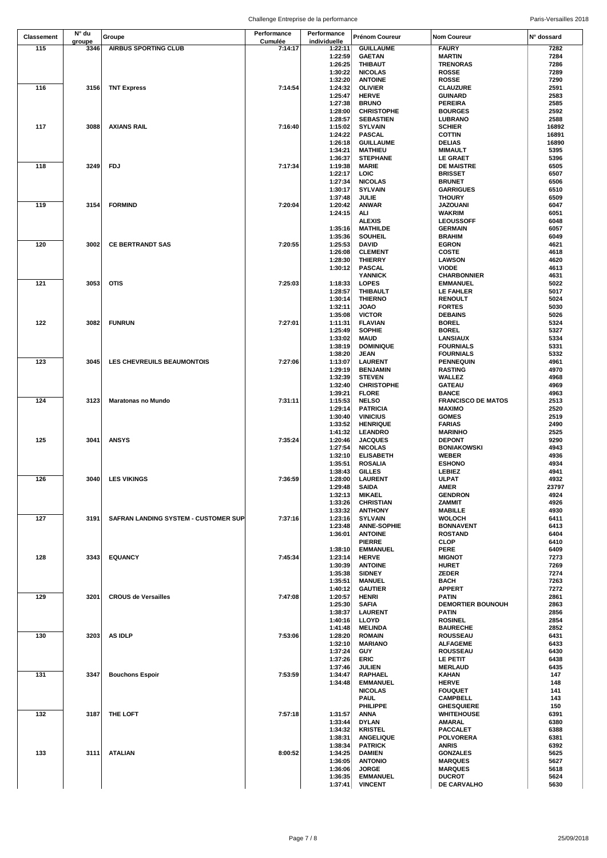| <b>Classement</b> | N° du  | Groupe                               | Performance | Performance  | Prénom Coureur     | <b>Nom Coureur</b>        | N° dossard   |
|-------------------|--------|--------------------------------------|-------------|--------------|--------------------|---------------------------|--------------|
|                   | groupe |                                      | Cumulée     | individuelle |                    |                           |              |
| 115               | 3346   | <b>AIRBUS SPORTING CLUB</b>          | 7:14:17     | 1:22:11      | <b>GUILLAUME</b>   | <b>FAURY</b>              | 7282         |
|                   |        |                                      |             | 1:22:59      | <b>GAETAN</b>      | <b>MARTIN</b>             | 7284         |
|                   |        |                                      |             | 1:26:25      | <b>THIBAUT</b>     | <b>TRENORAS</b>           | 7286         |
|                   |        |                                      |             | 1:30:22      | <b>NICOLAS</b>     | <b>ROSSE</b>              | 7289         |
|                   |        |                                      |             | 1:32:20      | <b>ANTOINE</b>     | <b>ROSSE</b>              | 7290         |
| 116               | 3156   | <b>TNT Express</b>                   | 7:14:54     | 1:24:32      | <b>OLIVIER</b>     | <b>CLAUZURE</b>           | 2591         |
|                   |        |                                      |             | 1:25:47      | <b>HERVE</b>       | <b>GUINARD</b>            | 2583         |
|                   |        |                                      |             | 1:27:38      | <b>BRUNO</b>       | <b>PEREIRA</b>            | 2585         |
|                   |        |                                      |             | 1:28:00      | <b>CHRISTOPHE</b>  | <b>BOURGES</b>            | 2592         |
|                   |        |                                      |             | 1:28:57      | <b>SEBASTIEN</b>   | <b>LUBRANO</b>            | 2588         |
| 117               | 3088   | <b>AXIANS RAIL</b>                   | 7:16:40     | 1:15:02      | <b>SYLVAIN</b>     | <b>SCHIER</b>             | 16892        |
|                   |        |                                      |             |              |                    |                           |              |
|                   |        |                                      |             | 1:24:22      | <b>PASCAL</b>      | <b>COTTIN</b>             | 16891        |
|                   |        |                                      |             | 1:26:18      | <b>GUILLAUME</b>   | <b>DELIAS</b>             | 16890        |
|                   |        |                                      |             | 1:34:21      | <b>MATHIEU</b>     | <b>MIMAULT</b>            | 5395         |
|                   |        |                                      |             | 1:36:37      | <b>STEPHANE</b>    | <b>LE GRAET</b>           | 5396         |
| 118               | 3249   | <b>FDJ</b>                           | 7:17:34     | 1:19:38      | <b>MARIE</b>       | <b>DE MAISTRE</b>         | 6505         |
|                   |        |                                      |             | 1:22:17      | LOIC               | <b>BRISSET</b>            | 6507         |
|                   |        |                                      |             | 1:27:34      | <b>NICOLAS</b>     | <b>BRUNET</b>             | 6506         |
|                   |        |                                      |             | 1:30:17      | <b>SYLVAIN</b>     | <b>GARRIGUES</b>          | 6510         |
|                   |        |                                      |             | 1:37:48      | JULIE              | <b>THOURY</b>             | 6509         |
| 119               | 3154   | <b>FORMIND</b>                       | 7:20:04     | 1:20:42      | <b>ANWAR</b>       | <b>JAZOUANI</b>           | 6047         |
|                   |        |                                      |             | 1:24:15      | ALI                | <b>WAKRIM</b>             | 6051         |
|                   |        |                                      |             |              | <b>ALEXIS</b>      | <b>LEOUSSOFF</b>          | 6048         |
|                   |        |                                      |             | 1:35:16      | <b>MATHILDE</b>    | <b>GERMAIN</b>            | 6057         |
|                   |        |                                      |             | 1:35:36      | <b>SOUHEIL</b>     | <b>BRAHIM</b>             | 6049         |
| 120               | 3002   | <b>CE BERTRANDT SAS</b>              | 7:20:55     | 1:25:53      | <b>DAVID</b>       | <b>EGRON</b>              | 4621         |
|                   |        |                                      |             | 1:26:08      | <b>CLEMENT</b>     | <b>COSTE</b>              | 4618         |
|                   |        |                                      |             | 1:28:30      | <b>THIERRY</b>     | <b>LAWSON</b>             | 4620         |
|                   |        |                                      |             | 1:30:12      | <b>PASCAL</b>      | <b>VIODE</b>              | 4613         |
|                   |        |                                      |             |              | <b>YANNICK</b>     | <b>CHARBONNIER</b>        | 4631         |
| 121               | 3053   | <b>OTIS</b>                          | 7:25:03     | 1:18:33      | <b>LOPES</b>       | <b>EMMANUEL</b>           | 5022         |
|                   |        |                                      |             |              |                    |                           |              |
|                   |        |                                      |             | 1:28:57      | <b>THIBAULT</b>    | LE FAHLER                 | 5017<br>5024 |
|                   |        |                                      |             | 1:30:14      | <b>THIERNO</b>     | <b>RENOULT</b>            |              |
|                   |        |                                      |             | 1:32:11      | <b>JOAO</b>        | <b>FORTES</b>             | 5030         |
|                   |        |                                      |             | 1:35:08      | <b>VICTOR</b>      | <b>DEBAINS</b>            | 5026         |
| 122               | 3082   | <b>FUNRUN</b>                        | 7:27:01     | 1:11:31      | <b>FLAVIAN</b>     | <b>BOREL</b>              | 5324         |
|                   |        |                                      |             | 1:25:49      | <b>SOPHIE</b>      | <b>BOREL</b>              | 5327         |
|                   |        |                                      |             | 1:33:02      | <b>MAUD</b>        | LANSIAUX                  | 5334         |
|                   |        |                                      |             | 1:38:19      | <b>DOMINIQUE</b>   | <b>FOURNIALS</b>          | 5331         |
|                   |        |                                      |             | 1:38:20      | <b>JEAN</b>        | <b>FOURNIALS</b>          | 5332         |
| 123               | 3045   | LES CHEVREUILS BEAUMONTOIS           | 7:27:06     | 1:13:07      | <b>LAURENT</b>     | <b>PENNEQUIN</b>          | 4961         |
|                   |        |                                      |             | 1:29:19      | <b>BENJAMIN</b>    | <b>RASTING</b>            | 4970         |
|                   |        |                                      |             | 1:32:39      | <b>STEVEN</b>      | WALLEZ                    | 4968         |
|                   |        |                                      |             | 1:32:40      | <b>CHRISTOPHE</b>  | <b>GATEAU</b>             | 4969         |
|                   |        |                                      |             | 1:39:21      | <b>FLORE</b>       | <b>BANCE</b>              | 4963         |
| 124               | 3123   | <b>Maratonas no Mundo</b>            | 7:31:11     | 1:15:53      | <b>NELSO</b>       | <b>FRANCISCO DE MATOS</b> | 2513         |
|                   |        |                                      |             | 1:29:14      | <b>PATRICIA</b>    | <b>MAXIMO</b>             | 2520         |
|                   |        |                                      |             | 1:30:40      | <b>VINICIUS</b>    | <b>GOMES</b>              | 2519         |
|                   |        |                                      |             | 1:33:52      | <b>HENRIQUE</b>    | <b>FARIAS</b>             | 2490         |
|                   |        |                                      |             | 1:41:32      | <b>LEANDRO</b>     | <b>MARINHO</b>            | 2525         |
| 125               | 3041   | <b>ANSYS</b>                         | 7:35:24     | 1:20:46      | <b>JACQUES</b>     | <b>DEPONT</b>             | 9290         |
|                   |        |                                      |             | 1:27:54      | <b>NICOLAS</b>     | <b>BONIAKOWSKI</b>        | 4943         |
|                   |        |                                      |             | 1:32:10      | <b>ELISABETH</b>   | <b>WEBER</b>              | 4936         |
|                   |        |                                      |             | 1:35:51      | <b>ROSALIA</b>     | <b>ESHONO</b>             | 4934         |
|                   |        |                                      |             | 1:38:43      | <b>GILLES</b>      | <b>LEBIEZ</b>             | 4941         |
| 126               |        | 3040 LES VIKINGS                     | 7:36:59     | 1:28:00      | <b>LAURENT</b>     | <b>ULPAT</b>              | 4932         |
|                   |        |                                      |             |              |                    |                           |              |
|                   |        |                                      |             | 1:29:48      | <b>SAIDA</b>       | <b>AMER</b>               | 23797        |
|                   |        |                                      |             | 1:32:13      | <b>MIKAEL</b>      | <b>GENDRON</b>            | 4924         |
|                   |        |                                      |             | 1:33:26      | <b>CHRISTIAN</b>   | <b>ZAMMIT</b>             | 4926         |
|                   |        |                                      |             | 1:33:32      | <b>ANTHONY</b>     | <b>MABILLE</b>            | 4930         |
| 127               | 3191   | SAFRAN LANDING SYSTEM - CUSTOMER SUP | 7:37:16     | 1:23:16      | <b>SYLVAIN</b>     | <b>WOLOCH</b>             | 6411         |
|                   |        |                                      |             | 1:23:48      | <b>ANNE-SOPHIE</b> | <b>BONNAVENT</b>          | 6413         |
|                   |        |                                      |             | 1:36:01      | <b>ANTOINE</b>     | <b>ROSTAND</b>            | 6404         |
|                   |        |                                      |             |              | <b>PIERRE</b>      | <b>CLOP</b>               | 6410         |
|                   |        |                                      |             | 1:38:10      | <b>EMMANUEL</b>    | <b>PERE</b>               | 6409         |
| 128               | 3343   | <b>EQUANCY</b>                       | 7:45:34     | 1:23:14      | <b>HERVE</b>       | <b>MIGNOT</b>             | 7273         |
|                   |        |                                      |             | 1:30:39      | <b>ANTOINE</b>     | <b>HURET</b>              | 7269         |
|                   |        |                                      |             | 1:35:38      | <b>SIDNEY</b>      | <b>ZEDER</b>              | 7274         |
|                   |        |                                      |             | 1:35:51      | <b>MANUEL</b>      | <b>BACH</b>               | 7263         |
|                   |        |                                      |             | 1:40:12      | <b>GAUTIER</b>     | <b>APPERT</b>             | 7272         |
| 129               | 3201   | <b>CROUS de Versailles</b>           | 7:47:08     | 1:20:57      | HENRI              | <b>PATIN</b>              | 2861         |
|                   |        |                                      |             | 1:25:30      | <b>SAFIA</b>       | <b>DEMORTIER BOUNOUH</b>  | 2863         |
|                   |        |                                      |             | 1:38:37      | <b>LAURENT</b>     | <b>PATIN</b>              | 2856         |
|                   |        |                                      |             | 1:40:16      | LLOYD              | <b>ROSINEL</b>            | 2854         |
|                   |        |                                      |             | 1:41:48      | <b>MELINDA</b>     | <b>BAURECHE</b>           | 2852         |
| 130               | 3203   | <b>AS IDLP</b>                       | 7:53:06     | 1:28:20      | <b>ROMAIN</b>      | <b>ROUSSEAU</b>           | 6431         |
|                   |        |                                      |             | 1:32:10      | <b>MARIANO</b>     | <b>ALFAGEME</b>           | 6433         |
|                   |        |                                      |             | 1:37:24      | <b>GUY</b>         | <b>ROUSSEAU</b>           | 6430         |
|                   |        |                                      |             |              | <b>ERIC</b>        |                           | 6438         |
|                   |        |                                      |             | 1:37:26      |                    | <b>LE PETIT</b>           |              |
|                   |        |                                      |             | 1:37:46      | <b>JULIEN</b>      | <b>MERLAUD</b>            | 6435         |
| 131               | 3347   | <b>Bouchons Espoir</b>               | 7:53:59     | 1:34:47      | <b>RAPHAEL</b>     | <b>KAHAN</b>              | 147          |
|                   |        |                                      |             | 1:34:48      | <b>EMMANUEL</b>    | <b>HERVE</b>              | 148          |
|                   |        |                                      |             |              | <b>NICOLAS</b>     | <b>FOUQUET</b>            | 141          |
|                   |        |                                      |             |              | <b>PAUL</b>        | <b>CAMPBELL</b>           | 143          |
|                   |        |                                      |             |              | PHILIPPE           | <b>GHESQUIERE</b>         | 150          |
| 132               | 3187   | THE LOFT                             | 7:57:18     | 1:31:57      | <b>ANNA</b>        | <b>WHITEHOUSE</b>         | 6391         |
|                   |        |                                      |             | 1:33:44      | <b>DYLAN</b>       | AMARAL                    | 6380         |
|                   |        |                                      |             | 1:34:32      | <b>KRISTEL</b>     | <b>PACCALET</b>           | 6388         |
|                   |        |                                      |             | 1:38:31      | <b>ANGELIQUE</b>   | <b>POLVORERA</b>          | 6381         |
|                   |        |                                      |             | 1:38:34      | <b>PATRICK</b>     | <b>ANRIS</b>              | 6392         |
| 133               | 3111   | <b>ATALIAN</b>                       | 8:00:52     | 1:34:25      | <b>DAMIEN</b>      | <b>GONZALES</b>           | 5625         |
|                   |        |                                      |             | 1:36:05      | <b>ANTONIO</b>     | <b>MARQUES</b>            | 5627         |
|                   |        |                                      |             | 1:36:06      | <b>JORGE</b>       | <b>MARQUES</b>            | 5618         |
|                   |        |                                      |             | 1:36:35      | <b>EMMANUEL</b>    | <b>DUCROT</b>             | 5624         |
|                   |        |                                      |             | 1:37:41      | <b>VINCENT</b>     | DE CARVALHO               | 5630         |